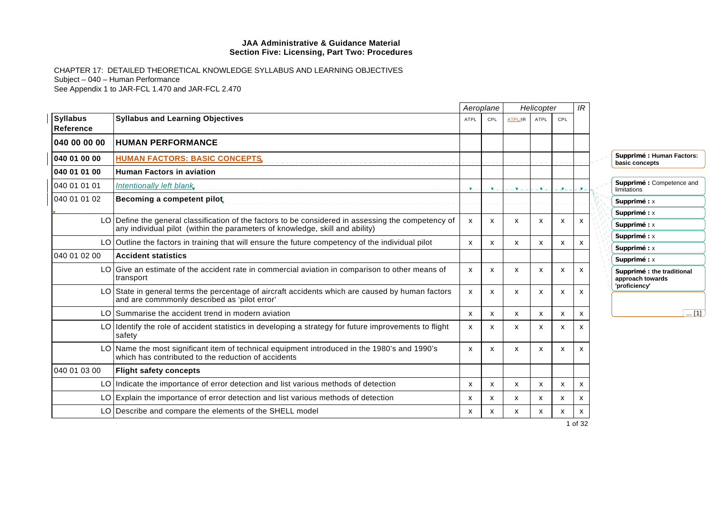|                              |                                                                                                                                                                                     |                           | Aeroplane                 |                           | Helicopter  |                           | IR      |                                                                 |
|------------------------------|-------------------------------------------------------------------------------------------------------------------------------------------------------------------------------------|---------------------------|---------------------------|---------------------------|-------------|---------------------------|---------|-----------------------------------------------------------------|
| <b>Syllabus</b><br>Reference | <b>Syllabus and Learning Objectives</b>                                                                                                                                             | <b>ATPL</b>               | CPL                       | <b>ATPL/IR</b>            | <b>ATPL</b> | CPL                       |         |                                                                 |
| 040 00 00 00                 | <b>HUMAN PERFORMANCE</b>                                                                                                                                                            |                           |                           |                           |             |                           |         |                                                                 |
| 040 01 00 00                 | <b>HUMAN FACTORS: BASIC CONCEPTS,</b>                                                                                                                                               |                           |                           |                           |             |                           |         | Supprimé : Human Factors:<br>basic concepts                     |
| 040 01 01 00                 | <b>Human Factors in aviation</b>                                                                                                                                                    |                           |                           |                           |             |                           |         |                                                                 |
| 040 01 01 01                 | Intentionally left blank                                                                                                                                                            | <b>V</b>                  | Ξ×.                       | – <b>x</b> –              | 医三          | . J.                      |         | Supprimé : Competence and<br>limitations                        |
| 040 01 01 02                 | Becoming a competent pilot,                                                                                                                                                         |                           |                           |                           |             |                           |         | Supprimé : x                                                    |
|                              |                                                                                                                                                                                     |                           |                           |                           |             |                           |         | Supprimé : x                                                    |
|                              | LO Define the general classification of the factors to be considered in assessing the competency of<br>any individual pilot (within the parameters of knowledge, skill and ability) | $\mathsf{x}$              | $\boldsymbol{\mathsf{x}}$ | $\boldsymbol{\mathsf{x}}$ | X           | $\boldsymbol{\mathsf{x}}$ |         | Supprimé : x                                                    |
|                              | LO Outline the factors in training that will ensure the future competency of the individual pilot                                                                                   | $\boldsymbol{\mathsf{x}}$ | X                         | X                         | x           | x                         | x       | Supprimé : x                                                    |
|                              |                                                                                                                                                                                     |                           |                           |                           |             |                           |         | Supprimé : x                                                    |
| 040 01 02 00                 | <b>Accident statistics</b>                                                                                                                                                          |                           |                           |                           |             |                           |         | Supprimé: x                                                     |
|                              | LO Give an estimate of the accident rate in commercial aviation in comparison to other means of<br>transport                                                                        | $\mathsf{x}$              | $\boldsymbol{\mathsf{x}}$ | $\mathsf{x}$              | x           | X                         | x       | Supprimé : the traditional<br>approach towards<br>'proficiency' |
|                              | LO State in general terms the percentage of aircraft accidents which are caused by human factors<br>and are commmonly described as 'pilot error'                                    | X                         | $\boldsymbol{\mathsf{x}}$ | $\mathsf{x}$              | x           | $\boldsymbol{\mathsf{x}}$ | x       |                                                                 |
|                              | LO Summarise the accident trend in modern aviation                                                                                                                                  | $\boldsymbol{\mathsf{x}}$ | x                         | X                         | x           | x                         | x       | $\overline{}$ [1]                                               |
|                              | $LO$ Identify the role of accident statistics in developing a strategy for future improvements to flight<br>safety                                                                  | $\boldsymbol{\mathsf{x}}$ | X                         | $\boldsymbol{\mathsf{x}}$ | x           | x                         | x       |                                                                 |
|                              | LO Name the most significant item of technical equipment introduced in the 1980's and 1990's<br>which has contributed to the reduction of accidents                                 | $\mathsf{x}$              | $\boldsymbol{\mathsf{x}}$ | $\boldsymbol{\mathsf{x}}$ | X           | $\boldsymbol{\mathsf{x}}$ | х       |                                                                 |
| 040 01 03 00                 | <b>Flight safety concepts</b>                                                                                                                                                       |                           |                           |                           |             |                           |         |                                                                 |
|                              | LO Indicate the importance of error detection and list various methods of detection                                                                                                 | $\boldsymbol{\mathsf{x}}$ | X                         | X                         | x           | x                         | х       |                                                                 |
|                              | LO Explain the importance of error detection and list various methods of detection                                                                                                  | $\mathsf{x}$              | $\boldsymbol{\mathsf{x}}$ | $\mathsf{x}$              | X           | х                         | x       |                                                                 |
|                              | LO Describe and compare the elements of the SHELL model                                                                                                                             | x                         | X                         | X                         | x           | X                         | x       |                                                                 |
|                              |                                                                                                                                                                                     |                           |                           |                           |             |                           | 1 of 32 |                                                                 |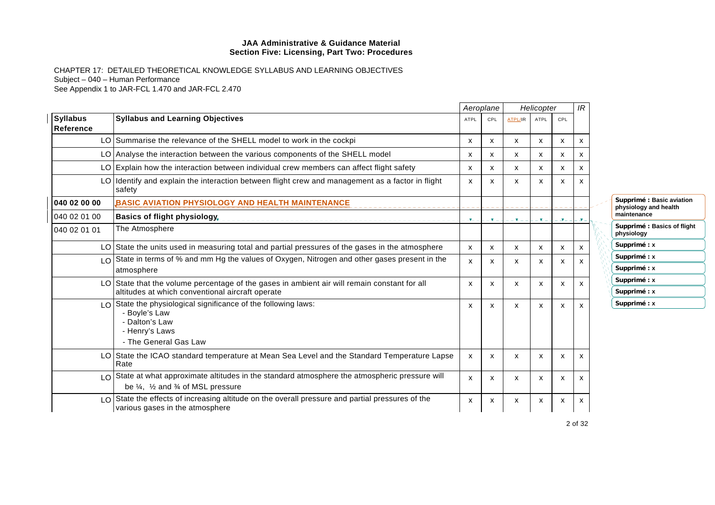|                                              |                                                                                                                                                                       |                | Aeroplane    |                | Helicopter  |     | IR |                                                    |
|----------------------------------------------|-----------------------------------------------------------------------------------------------------------------------------------------------------------------------|----------------|--------------|----------------|-------------|-----|----|----------------------------------------------------|
| <b>Syllabus</b><br>Reference                 | <b>Syllabus and Learning Objectives</b>                                                                                                                               | <b>ATPL</b>    | CPL          | <b>ATPL/IR</b> | <b>ATPL</b> | CPL |    |                                                    |
|                                              | LO Summarise the relevance of the SHELL model to work in the cockpi                                                                                                   | X              | X            | x              | X           | x   | X  |                                                    |
|                                              | LO Analyse the interaction between the various components of the SHELL model                                                                                          | X              | x            | x              | X           | x   | X  |                                                    |
|                                              | LO Explain how the interaction between individual crew members can affect flight safety                                                                               | X              | X            | X              | x           | x   | x  |                                                    |
|                                              | LO Identify and explain the interaction between flight crew and management as a factor in flight<br>safety                                                            | х              | х            | х              | x           | x   |    |                                                    |
| 040 02 00 00                                 | BASIC AVIATION PHYSIOLOGY AND HEALTH MAINTENANCE                                                                                                                      |                |              |                |             |     |    | Supprimé : Basic aviation<br>physiology and health |
| 040 02 01 00                                 | <b>Basics of flight physiology</b>                                                                                                                                    | $\mathbf{v}_-$ | <b>v</b>     |                | . т         |     |    | maintenance                                        |
| 040 02 01 01                                 | The Atmosphere                                                                                                                                                        |                |              |                |             |     |    | Supprimé : Basics of flight<br>physiology          |
|                                              | LO State the units used in measuring total and partial pressures of the gases in the atmosphere                                                                       | X              | $\mathsf{x}$ | X              | X           | X   | X  | Supprimé : x                                       |
| $\overline{1}$ $\overline{0}$                | State in terms of % and mm Hg the values of Oxygen, Nitrogen and other gases present in the                                                                           | X              | x            | x              | X           | X   | х  | Supprimé : x                                       |
|                                              | atmosphere                                                                                                                                                            |                |              |                |             |     |    | Supprimé : x                                       |
|                                              | LO State that the volume percentage of the gases in ambient air will remain constant for all                                                                          | x              | х            | x              | X           | x   | х  | Supprimé : x                                       |
|                                              | altitudes at which conventional aircraft operate                                                                                                                      |                |              |                |             |     |    | Supprimé : x                                       |
| $\overline{1}$ $\overline{0}$ $\overline{1}$ | State the physiological significance of the following laws:<br>- Boyle's Law<br>- Dalton's Law<br>- Henry's Laws<br>- The General Gas Law                             | X              | X            | X              | X           | X   |    | Supprimé : x                                       |
|                                              | LO State the ICAO standard temperature at Mean Sea Level and the Standard Temperature Lapse<br>Rate                                                                   | X              | X            | X              | x           | X   | x  |                                                    |
|                                              | LO State at what approximate altitudes in the standard atmosphere the atmospheric pressure will<br>be $\frac{1}{4}$ , $\frac{1}{2}$ and $\frac{3}{4}$ of MSL pressure | X              | x            | x              | X           | X   | x  |                                                    |
| $\overline{1}$ $\overline{0}$                | State the effects of increasing altitude on the overall pressure and partial pressures of the<br>various gases in the atmosphere                                      | x              | х            | х              | x           | x   | х  |                                                    |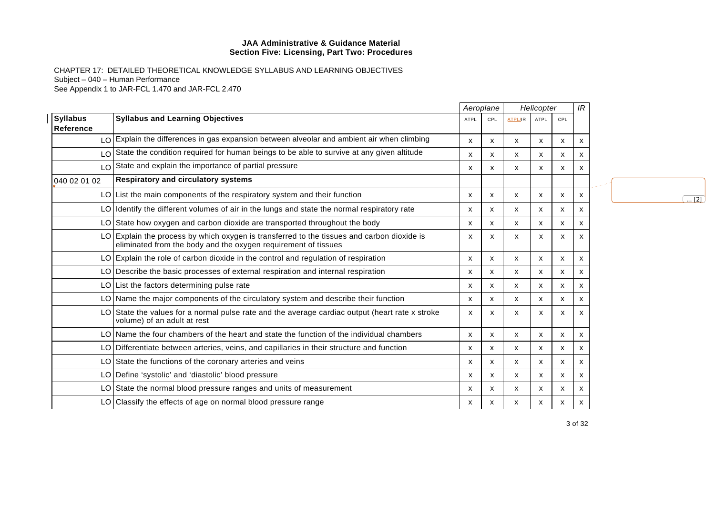|                              |                                                                                                                                                              |                           | Aeroplane                 |                           | Helicopter                |                           | IR |  |  |                   |
|------------------------------|--------------------------------------------------------------------------------------------------------------------------------------------------------------|---------------------------|---------------------------|---------------------------|---------------------------|---------------------------|----|--|--|-------------------|
| <b>Syllabus</b><br>Reference | <b>Syllabus and Learning Objectives</b>                                                                                                                      | <b>ATPL</b>               | CPL                       | <b>ATPL/IR</b>            | <b>ATPL</b>               | CPL                       |    |  |  |                   |
|                              | LO Explain the differences in gas expansion between alveolar and ambient air when climbing                                                                   | $\mathsf{x}$              | X                         | X                         | X                         | $\mathsf{x}$              | x  |  |  |                   |
| LO.                          | State the condition required for human beings to be able to survive at any given altitude                                                                    | x                         | X                         | X                         | x                         | X                         | х  |  |  |                   |
|                              | LO State and explain the importance of partial pressure                                                                                                      | x                         | $\boldsymbol{\mathsf{x}}$ | X                         | x                         | $\mathsf{x}$              | х  |  |  |                   |
| 040 02 01 02                 | <b>Respiratory and circulatory systems</b>                                                                                                                   |                           |                           |                           |                           |                           |    |  |  |                   |
|                              | $LO$ List the main components of the respiratory system and their function                                                                                   | X                         | X                         | $\boldsymbol{\mathsf{x}}$ | $\boldsymbol{\mathsf{x}}$ | X                         | x  |  |  | $\overline{}$ [2] |
|                              | LO Identify the different volumes of air in the lungs and state the normal respiratory rate                                                                  | x                         | х                         | x                         | x                         | X                         | х  |  |  |                   |
|                              | LO State how oxygen and carbon dioxide are transported throughout the body                                                                                   | $\mathsf{x}$              | X                         | $\boldsymbol{\mathsf{x}}$ | $\mathsf{x}$              | $\boldsymbol{\mathsf{x}}$ | x  |  |  |                   |
|                              | LO Explain the process by which oxygen is transferred to the tissues and carbon dioxide is<br>eliminated from the body and the oxygen requirement of tissues | $\boldsymbol{\mathsf{x}}$ | X                         | X                         | X                         | $\boldsymbol{\mathsf{x}}$ | x  |  |  |                   |
|                              | $LO$ Explain the role of carbon dioxide in the control and regulation of respiration                                                                         | x                         | X                         | $\boldsymbol{\mathsf{x}}$ | X                         | $\boldsymbol{\mathsf{x}}$ | x  |  |  |                   |
|                              | LO Describe the basic processes of external respiration and internal respiration                                                                             | х                         | X                         | x                         | x                         | X                         | x  |  |  |                   |
|                              | LO List the factors determining pulse rate                                                                                                                   | х                         | x                         | $\boldsymbol{\mathsf{x}}$ | x                         | X                         | x  |  |  |                   |
|                              | LO Name the major components of the circulatory system and describe their function                                                                           | X                         | $\boldsymbol{\mathsf{x}}$ | $\mathsf{x}$              | $\mathsf{x}$              | $\boldsymbol{\mathsf{x}}$ | x  |  |  |                   |
|                              | LO State the values for a normal pulse rate and the average cardiac output (heart rate x stroke<br>volume) of an adult at rest                               | $\boldsymbol{\mathsf{x}}$ | X                         | X                         | x                         | $\boldsymbol{\mathsf{x}}$ | x  |  |  |                   |
|                              | LO Name the four chambers of the heart and state the function of the individual chambers                                                                     | X                         | X                         | $\mathsf{x}$              | $\mathsf{x}$              | $\boldsymbol{\mathsf{x}}$ | х  |  |  |                   |
|                              | LO Differentiate between arteries, veins, and capillaries in their structure and function                                                                    | X                         | X                         | $\mathsf{x}$              | x                         | $\boldsymbol{\mathsf{x}}$ | х  |  |  |                   |
|                              | LO State the functions of the coronary arteries and veins                                                                                                    | x                         | $\mathsf{x}$              | X                         | x                         | $\boldsymbol{\mathsf{x}}$ | x  |  |  |                   |
|                              | LO Define 'systolic' and 'diastolic' blood pressure                                                                                                          | x                         | X                         | X                         | x                         | X                         | х  |  |  |                   |
|                              | LO State the normal blood pressure ranges and units of measurement                                                                                           | X                         | X                         | $\mathsf{x}$              | X                         | $\mathsf{x}$              | х  |  |  |                   |
|                              | $LO Classify$ the effects of age on normal blood pressure range                                                                                              | x                         | X                         | X                         | X.                        | X                         | x  |  |  |                   |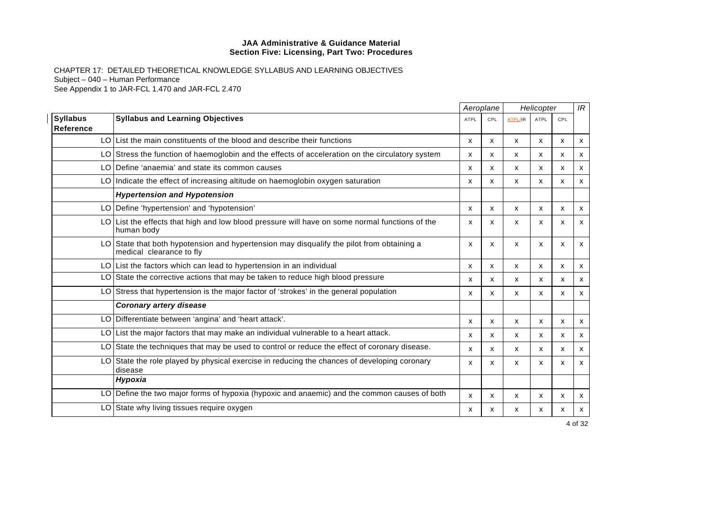|                                     |                                                                                                                       |             | Aeroplane |                | Helicopter                |     | IR |
|-------------------------------------|-----------------------------------------------------------------------------------------------------------------------|-------------|-----------|----------------|---------------------------|-----|----|
| <b>Syllabus</b><br><b>Reference</b> | <b>Syllabus and Learning Objectives</b>                                                                               | <b>ATPL</b> | CPL       | <b>ATPL/IR</b> | <b>ATPL</b>               | CPL |    |
|                                     | LO List the main constituents of the blood and describe their functions                                               | X           | X         | X              | $\boldsymbol{\mathsf{x}}$ | X   | x  |
|                                     | LO Stress the function of haemoglobin and the effects of acceleration on the circulatory system                       | x           | X         | X              | x                         | x   | X  |
|                                     | LO Define 'anaemia' and state its common causes                                                                       | x           | x         | X              | X                         | X   | X  |
|                                     | LO Indicate the effect of increasing altitude on haemoglobin oxygen saturation                                        | X           | x         | X              | X                         | X   | X  |
|                                     | <b>Hypertension and Hypotension</b>                                                                                   |             |           |                |                           |     |    |
|                                     | LO Define 'hypertension' and 'hypotension'                                                                            | x           | x         | X              | x                         | x   | х  |
|                                     | $LO$ List the effects that high and low blood pressure will have on some normal functions of the<br>human body        | x           | x         | X              | x                         | x   | X  |
|                                     | LO State that both hypotension and hypertension may disqualify the pilot from obtaining a<br>medical clearance to fly | X           | x         | X              | x                         | x   | X  |
|                                     | $LO$ List the factors which can lead to hypertension in an individual                                                 | X           | X         | X              | $\boldsymbol{\mathsf{x}}$ | X   | X  |
|                                     | LO State the corrective actions that may be taken to reduce high blood pressure                                       | x           | x         | $\mathsf{x}$   | X                         | X   | x  |
|                                     | LO Stress that hypertension is the major factor of 'strokes' in the general population                                | x           | x         | X              | x                         | x   | X  |
|                                     | <b>Coronary artery disease</b>                                                                                        |             |           |                |                           |     |    |
|                                     | LO Differentiate between 'angina' and 'heart attack'.                                                                 | X           | x         | X              | X                         | X   | X  |
| LO I                                | List the major factors that may make an individual vulnerable to a heart attack.                                      | X           | x         | $\mathsf{x}$   | X                         | X   | X  |
| LO                                  | State the techniques that may be used to control or reduce the effect of coronary disease.                            | x           | x         | $\mathsf{x}$   | X                         | X   | X  |
|                                     | LO State the role played by physical exercise in reducing the chances of developing coronary<br>disease               | X           | x         | X              | x                         | X   | X  |
|                                     | Hypoxia                                                                                                               |             |           |                |                           |     |    |
| LO.                                 | Define the two major forms of hypoxia (hypoxic and anaemic) and the common causes of both                             | x           | x         | X              | X                         | x   | X  |
|                                     | LO State why living tissues require oxygen                                                                            | х           | x         | x              | x                         | x   | х  |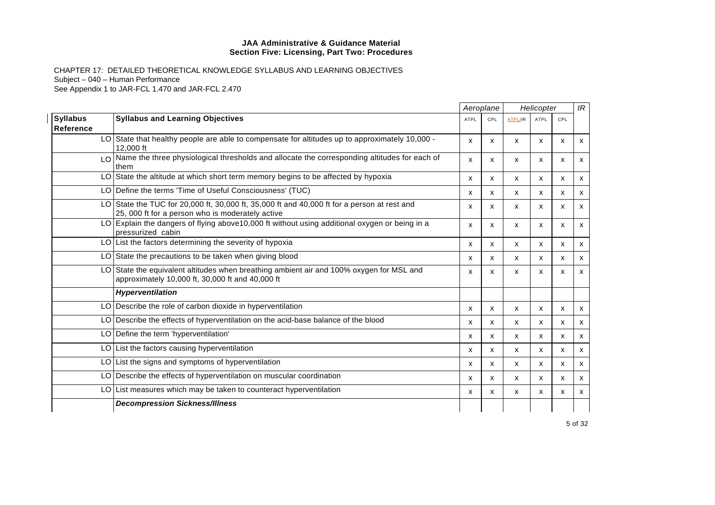|                              |                                                                                                                                                 |             | Aeroplane |                | Helicopter                |     | IR |
|------------------------------|-------------------------------------------------------------------------------------------------------------------------------------------------|-------------|-----------|----------------|---------------------------|-----|----|
| <b>Syllabus</b><br>Reference | <b>Syllabus and Learning Objectives</b>                                                                                                         | <b>ATPL</b> | CPL       | <b>ATPL/IR</b> | ATPL                      | CPL |    |
|                              | LO State that healthy people are able to compensate for altitudes up to approximately 10,000 -<br>12,000 ft                                     | x           | x         | X              | x                         | X   | X  |
|                              | LO Name the three physiological thresholds and allocate the corresponding altitudes for each of<br>them                                         | X           | x         | X              | X                         | X   | x  |
|                              | LO State the altitude at which short term memory begins to be affected by hypoxia                                                               | x           | x         | X              | X                         | X   | x  |
|                              | LO Define the terms 'Time of Useful Consciousness' (TUC)                                                                                        | X           | x         | $\mathsf{x}$   | $\mathsf{x}$              | X   | x  |
|                              | LO State the TUC for 20,000 ft, 30,000 ft, 35,000 ft and 40,000 ft for a person at rest and<br>25, 000 ft for a person who is moderately active | x           | x         | X              | X                         | x   | X  |
|                              | LO Explain the dangers of flying above10,000 ft without using additional oxygen or being in a<br>pressurized cabin                              | X           | x         | X              | X                         | X   | X  |
|                              | LO List the factors determining the severity of hypoxia                                                                                         | x           | x         | x              | $\boldsymbol{\mathsf{x}}$ | X   | X  |
|                              | LO State the precautions to be taken when giving blood                                                                                          | x           | x         | X              | X                         | X   | X  |
|                              | LO State the equivalent altitudes when breathing ambient air and 100% oxygen for MSL and<br>approximately 10,000 ft, 30,000 ft and 40,000 ft    | x           | x         | X              | X                         | x   | X  |
|                              | Hyperventilation                                                                                                                                |             |           |                |                           |     |    |
|                              | LO Describe the role of carbon dioxide in hyperventilation                                                                                      | X           | x         | X              | X                         | x   | x  |
|                              | LO Describe the effects of hyperventilation on the acid-base balance of the blood                                                               | X           | x         | X              | X                         | X   | x  |
|                              | LO Define the term 'hyperventilation'                                                                                                           | x           | x         | $\mathsf{x}$   | $\boldsymbol{\mathsf{x}}$ | X   | X  |
|                              | LO List the factors causing hyperventilation                                                                                                    | x           | x         | X              | X                         | X   | X  |
|                              | LO List the signs and symptoms of hyperventilation                                                                                              | X           | X         | $\mathsf{x}$   | $\mathsf{x}$              | X   | X  |
|                              | LO Describe the effects of hyperventilation on muscular coordination                                                                            | x           | x         | x              | X                         | x   | x  |
|                              | LO List measures which may be taken to counteract hyperventilation                                                                              | x           | x         | X              | X                         | X   | X  |
|                              | <b>Decompression Sickness/Illness</b>                                                                                                           |             |           |                |                           |     |    |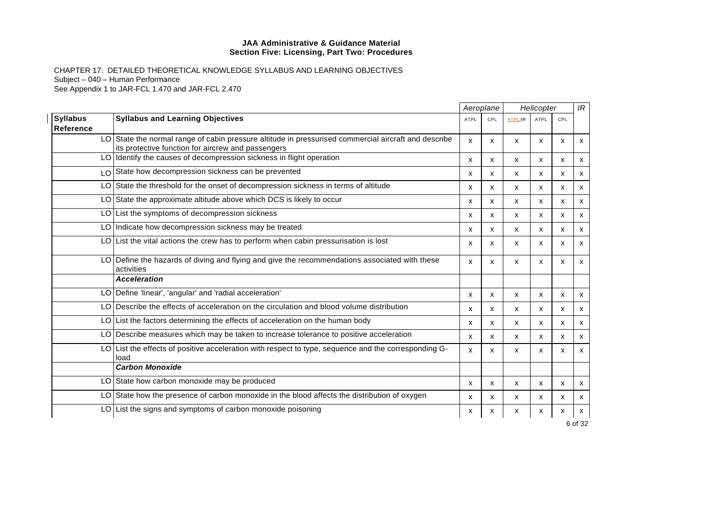|                              |                                                                                                                                                            |              | Aeroplane    | Helicopter     |              |     | IR                        |
|------------------------------|------------------------------------------------------------------------------------------------------------------------------------------------------------|--------------|--------------|----------------|--------------|-----|---------------------------|
| <b>Syllabus</b><br>Reference | <b>Syllabus and Learning Objectives</b>                                                                                                                    | <b>ATPL</b>  | CPL          | <b>ATPL/IR</b> | <b>ATPL</b>  | CPL |                           |
|                              | LO State the normal range of cabin pressure altitude in pressurised commercial aircraft and describe<br>its protective function for aircrew and passengers | X            | X            | X              | X            | X   | $\mathsf{x}$              |
|                              | LO Identify the causes of decompression sickness in flight operation                                                                                       | X            | X            | X              | X            | X   | $\mathsf{x}$              |
|                              | LO State how decompression sickness can be prevented                                                                                                       | $\mathsf{x}$ | X            | X              | x            | X   | $\mathsf{x}$              |
|                              | LO State the threshold for the onset of decompression sickness in terms of altitude                                                                        | X            | $\mathsf{x}$ | x              | $\mathsf{x}$ | X   | x                         |
|                              | LO State the approximate altitude above which DCS is likely to occur                                                                                       | х            | X            | X              | x            | X   | $\mathsf{x}$              |
|                              | LO List the symptoms of decompression sickness                                                                                                             | X            | X            | X              | $\mathsf{x}$ | X   | $\mathsf{x}$              |
|                              | LO Indicate how decompression sickness may be treated                                                                                                      | X            | $\mathsf{x}$ | X              | $\mathsf{x}$ | x   | $\boldsymbol{\mathsf{x}}$ |
|                              | $LO$ List the vital actions the crew has to perform when cabin pressurisation is lost                                                                      | $\mathsf{x}$ | X            | X              | X            | X   | X                         |
|                              | LO Define the hazards of diving and flying and give the recommendations associated with these<br>activities                                                | X            | X            | X              | X            | X   | $\mathsf{x}$              |
|                              | <b>Acceleration</b>                                                                                                                                        |              |              |                |              |     |                           |
|                              | LO   Define 'linear', 'angular' and 'radial acceleration'                                                                                                  | X            | X            | X              | X            | X   | $\mathsf{x}$              |
|                              | LO Describe the effects of acceleration on the circulation and blood volume distribution                                                                   | $\mathsf{x}$ | X            | X              | $\mathsf{x}$ | X   | $\mathsf{x}$              |
|                              | LO List the factors determining the effects of acceleration on the human body                                                                              | x            | x            | X              | x            | x   | $\boldsymbol{\mathsf{x}}$ |
|                              | LO Describe measures which may be taken to increase tolerance to positive acceleration                                                                     | x            | X            | X              | x            | x   | X                         |
| LO I                         | List the effects of positive acceleration with respect to type, sequence and the corresponding G-<br>load                                                  | X            | X            | X              | $\mathsf{x}$ | X   | $\mathsf{x}$              |
|                              | <b>Carbon Monoxide</b>                                                                                                                                     |              |              |                |              |     |                           |
|                              | LO State how carbon monoxide may be produced                                                                                                               | $\mathsf{x}$ | X            | X              | X            | X   | X                         |
|                              | LO State how the presence of carbon monoxide in the blood affects the distribution of oxygen                                                               | $\mathsf{x}$ | X            | X              | x            | X   | X                         |
|                              | LO List the signs and symptoms of carbon monoxide poisoning                                                                                                | x            | х            | х              | x            | x   | x                         |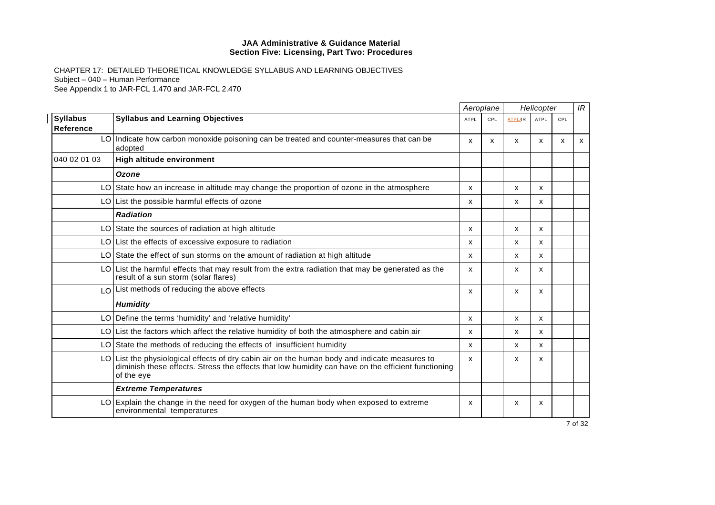|                                     |                                                                                                                                                                                                                     |              | Aeroplane  |                | Helicopter                |     | IR |
|-------------------------------------|---------------------------------------------------------------------------------------------------------------------------------------------------------------------------------------------------------------------|--------------|------------|----------------|---------------------------|-----|----|
| <b>Syllabus</b><br><b>Reference</b> | <b>Syllabus and Learning Objectives</b>                                                                                                                                                                             | <b>ATPL</b>  | <b>CPL</b> | <b>ATPL/IR</b> | <b>ATPL</b>               | CPL |    |
|                                     | LO Indicate how carbon monoxide poisoning can be treated and counter-measures that can be<br>adopted                                                                                                                | $\mathsf{x}$ | x          | x              | X                         | x   | X  |
| 040 02 01 03                        | High altitude environment                                                                                                                                                                                           |              |            |                |                           |     |    |
|                                     | Ozone                                                                                                                                                                                                               |              |            |                |                           |     |    |
|                                     | LO State how an increase in altitude may change the proportion of ozone in the atmosphere                                                                                                                           | X            |            | X              | $\boldsymbol{\mathsf{x}}$ |     |    |
|                                     | LO List the possible harmful effects of ozone                                                                                                                                                                       | X            |            | X              | $\boldsymbol{\mathsf{x}}$ |     |    |
|                                     | <b>Radiation</b>                                                                                                                                                                                                    |              |            |                |                           |     |    |
|                                     | LO State the sources of radiation at high altitude                                                                                                                                                                  | X            |            | X              | $\boldsymbol{\mathsf{x}}$ |     |    |
|                                     | $LO$ List the effects of excessive exposure to radiation                                                                                                                                                            | x            |            | X              | X                         |     |    |
|                                     | LO State the effect of sun storms on the amount of radiation at high altitude                                                                                                                                       | X            |            | х              | $\boldsymbol{\mathsf{x}}$ |     |    |
|                                     | $LO$ List the harmful effects that may result from the extra radiation that may be generated as the<br>result of a sun storm (solar flares)                                                                         | X            |            | X              | $\mathsf{x}$              |     |    |
|                                     | LO List methods of reducing the above effects                                                                                                                                                                       | X            |            | X              | $\boldsymbol{\mathsf{x}}$ |     |    |
|                                     | <b>Humidity</b>                                                                                                                                                                                                     |              |            |                |                           |     |    |
|                                     | LO Define the terms 'humidity' and 'relative humidity'                                                                                                                                                              | X            |            | X              | $\boldsymbol{\mathsf{x}}$ |     |    |
|                                     | LO List the factors which affect the relative humidity of both the atmosphere and cabin air                                                                                                                         | X            |            | x              | $\boldsymbol{\mathsf{x}}$ |     |    |
|                                     | LO State the methods of reducing the effects of insufficient humidity                                                                                                                                               | X            |            | x              | $\mathsf{x}$              |     |    |
|                                     | LO   List the physiological effects of dry cabin air on the human body and indicate measures to<br>diminish these effects. Stress the effects that low humidity can have on the efficient functioning<br>of the eye | $\mathsf{x}$ |            | X              | $\boldsymbol{\mathsf{x}}$ |     |    |
|                                     | <b>Extreme Temperatures</b>                                                                                                                                                                                         |              |            |                |                           |     |    |
|                                     | LO Explain the change in the need for oxygen of the human body when exposed to extreme<br>environmental temperatures                                                                                                | $\mathsf{x}$ |            | X              | x                         |     |    |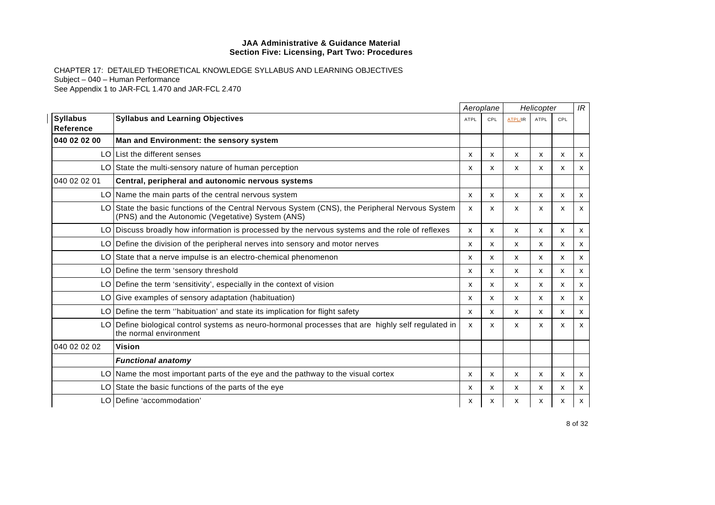|                              |                                                                                                                                                      |                           | Aeroplane |                | Helicopter   |     | IR           |
|------------------------------|------------------------------------------------------------------------------------------------------------------------------------------------------|---------------------------|-----------|----------------|--------------|-----|--------------|
| <b>Syllabus</b><br>Reference | <b>Syllabus and Learning Objectives</b>                                                                                                              | <b>ATPL</b>               | CPL       | <b>ATPL/IR</b> | <b>ATPL</b>  | CPL |              |
| 040 02 02 00                 | Man and Environment: the sensory system                                                                                                              |                           |           |                |              |     |              |
|                              | LO List the different senses                                                                                                                         | X                         | x         | X              | x            | x   | x            |
|                              | LO State the multi-sensory nature of human perception                                                                                                | х                         | x         | x              | X            | x   | x            |
| 040 02 02 01                 | Central, peripheral and autonomic nervous systems                                                                                                    |                           |           |                |              |     |              |
|                              | LO Name the main parts of the central nervous system                                                                                                 | $\mathsf{x}$              | X         | x              | $\mathsf{x}$ | x   | $\mathsf{x}$ |
|                              | LO State the basic functions of the Central Nervous System (CNS), the Peripheral Nervous System<br>(PNS) and the Autonomic (Vegetative) System (ANS) | x                         | x         | x              | X            | x   | x            |
|                              | LO Discuss broadly how information is processed by the nervous systems and the role of reflexes                                                      | $\boldsymbol{\mathsf{x}}$ | X         | X              | x            | x   | x            |
|                              | LO Define the division of the peripheral nerves into sensory and motor nerves                                                                        | $\boldsymbol{\mathsf{x}}$ | x         | X              | X            | x   | x            |
|                              | LO State that a nerve impulse is an electro-chemical phenomenon                                                                                      | х                         | х         | x              | x            | x   | x            |
|                              | LO Define the term 'sensory threshold                                                                                                                | X                         | X         | x              | $\mathsf{x}$ | x   | <b>X</b>     |
|                              | LO Define the term 'sensitivity', especially in the context of vision                                                                                | x                         | X         | X              | X            | x   | X            |
|                              | LO Give examples of sensory adaptation (habituation)                                                                                                 | x                         | X         | X              | x            | x   | X            |
|                              | LO Define the term "habituation" and state its implication for flight safety                                                                         | X                         | X         | X              | x            | x   | <b>X</b>     |
|                              | LO Define biological control systems as neuro-hormonal processes that are highly self regulated in<br>the normal environment                         | x                         | x         | x              | X            | x   | X            |
| 040 02 02 02                 | <b>Vision</b>                                                                                                                                        |                           |           |                |              |     |              |
|                              | <b>Functional anatomy</b>                                                                                                                            |                           |           |                |              |     |              |
|                              | $LO$ Name the most important parts of the eye and the pathway to the visual cortex                                                                   | X                         | X         | X              | x            | x   | x            |
|                              | LO State the basic functions of the parts of the eye                                                                                                 | х                         | х         | x              | x            | x   | x            |
|                              | LO Define 'accommodation'                                                                                                                            | x                         | х         | x              | x            | x   | x            |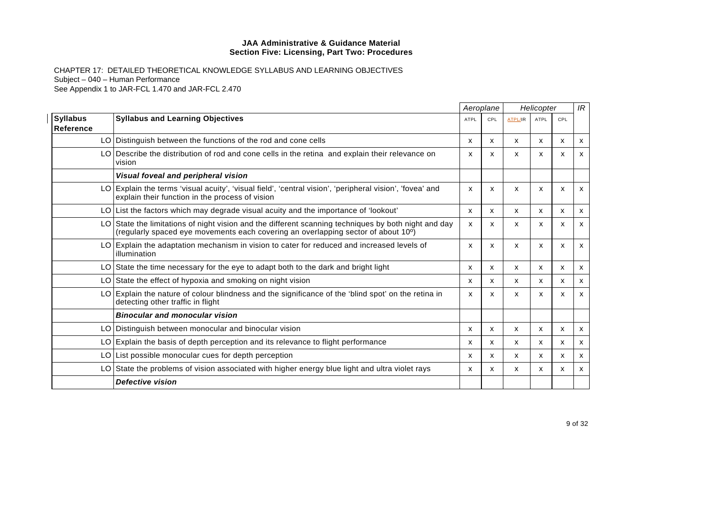|                              |                                                                                                                                                                                                        |                           | Aeroplane                 |                | Helicopter   |              | IR           |
|------------------------------|--------------------------------------------------------------------------------------------------------------------------------------------------------------------------------------------------------|---------------------------|---------------------------|----------------|--------------|--------------|--------------|
| <b>Syllabus</b><br>Reference | <b>Syllabus and Learning Objectives</b>                                                                                                                                                                | <b>ATPL</b>               | CPL                       | <b>ATPL/IR</b> | ATPL         | CPL          |              |
|                              | LO Distinguish between the functions of the rod and cone cells                                                                                                                                         | $\boldsymbol{\mathsf{x}}$ | X                         | X              | X            | X            | x            |
|                              | LO Describe the distribution of rod and cone cells in the retina and explain their relevance on<br>vision                                                                                              | $\boldsymbol{\mathsf{x}}$ | x                         | x              | X            | X            | $\mathsf{x}$ |
|                              | Visual foveal and peripheral vision                                                                                                                                                                    |                           |                           |                |              |              |              |
|                              | LO Explain the terms 'visual acuity', 'visual field', 'central vision', 'peripheral vision', 'fovea' and<br>explain their function in the process of vision                                            | X                         | X                         | X              | $\mathsf{x}$ | X            | $\mathsf{x}$ |
|                              | LO List the factors which may degrade visual acuity and the importance of 'lookout'                                                                                                                    | X                         | $\boldsymbol{\mathsf{x}}$ | x              | $\mathsf{x}$ | $\mathsf{x}$ | $\mathsf{x}$ |
|                              | LO State the limitations of night vision and the different scanning techniques by both night and day<br>(regularly spaced eye movements each covering an overlapping sector of about 10 <sup>o</sup> ) | $\boldsymbol{\mathsf{x}}$ | X                         | x              | $\mathsf{x}$ | X            | $\mathsf{x}$ |
|                              | LO Explain the adaptation mechanism in vision to cater for reduced and increased levels of<br>illumination                                                                                             | $\boldsymbol{\mathsf{x}}$ | x                         | X              | X            | X            | $\mathsf{x}$ |
|                              | LO State the time necessary for the eye to adapt both to the dark and bright light                                                                                                                     | x                         | $\boldsymbol{\mathsf{x}}$ | x              | X            | X            | x            |
|                              | LO State the effect of hypoxia and smoking on night vision                                                                                                                                             | $\boldsymbol{\mathsf{x}}$ | x                         | $\mathsf{x}$   | $\mathsf{x}$ | X            | $\mathsf{x}$ |
|                              | LO Explain the nature of colour blindness and the significance of the 'blind spot' on the retina in<br>detecting other traffic in flight                                                               | $\boldsymbol{\mathsf{x}}$ | x                         | X              | x            | X            | X            |
|                              | <b>Binocular and monocular vision</b>                                                                                                                                                                  |                           |                           |                |              |              |              |
|                              | LO Distinguish between monocular and binocular vision                                                                                                                                                  | X                         | $\boldsymbol{\mathsf{x}}$ | x              | X            | X            | x            |
|                              | LO Explain the basis of depth perception and its relevance to flight performance                                                                                                                       | X                         | X                         | x              | $\mathsf{x}$ | X            | $\mathsf{x}$ |
|                              | LO List possible monocular cues for depth perception                                                                                                                                                   | x                         | X                         | x              | х            | х            | х            |
|                              | LO State the problems of vision associated with higher energy blue light and ultra violet rays                                                                                                         | $\boldsymbol{\mathsf{x}}$ | $\boldsymbol{\mathsf{x}}$ | $\mathsf{x}$   | X            | X            | $\mathsf{x}$ |
|                              | <b>Defective vision</b>                                                                                                                                                                                |                           |                           |                |              |              |              |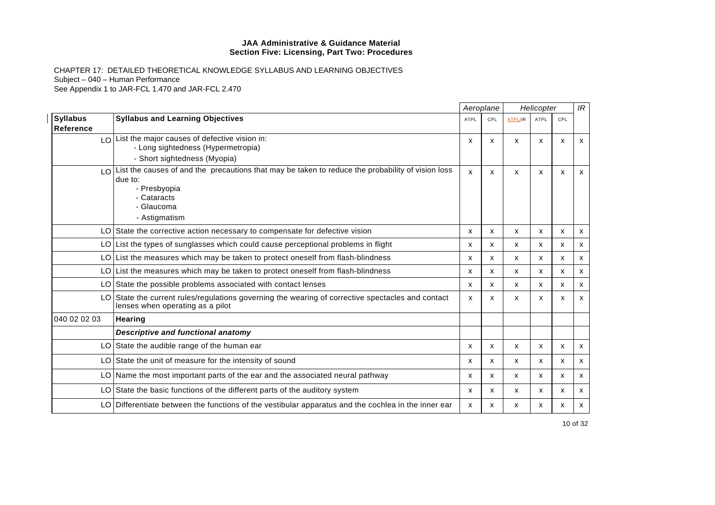|                              |                                                                                                                                                                                            |             | Aeroplane |                | Helicopter  |            | IR                        |
|------------------------------|--------------------------------------------------------------------------------------------------------------------------------------------------------------------------------------------|-------------|-----------|----------------|-------------|------------|---------------------------|
| <b>Syllabus</b><br>Reference | <b>Syllabus and Learning Objectives</b>                                                                                                                                                    | <b>ATPL</b> | CPL       | <b>ATPL/IR</b> | <b>ATPL</b> | <b>CPL</b> |                           |
|                              | $\log  \text{List} \$ the major causes of defective vision in:<br>- Long sightedness (Hypermetropia)<br>- Short sightedness (Myopia)                                                       | X           | X         | X              | X           | x          | $\boldsymbol{\mathsf{x}}$ |
|                              | $\log  \Omega $ List the causes of and the precautions that may be taken to reduce the probability of vision loss<br>due to:<br>- Presbyopia<br>- Cataracts<br>- Glaucoma<br>- Astigmatism | X           | X         | X              | x           | x          | $\boldsymbol{\mathsf{x}}$ |
|                              | LO State the corrective action necessary to compensate for defective vision                                                                                                                | X           | x         | X              | X           | x          | $\mathsf{x}$              |
|                              | $LO$ List the types of sunglasses which could cause perceptional problems in flight                                                                                                        | X           | x         | X              | X           | x          | X                         |
|                              | LO List the measures which may be taken to protect oneself from flash-blindness                                                                                                            | x           | X         | x              | x           | x          | X                         |
|                              | LO List the measures which may be taken to protect oneself from flash-blindness                                                                                                            | x           | X         | X              | X           | x          | X                         |
|                              | LO State the possible problems associated with contact lenses                                                                                                                              | X           | x         | X              | X           | x          | x                         |
|                              | LO State the current rules/regulations governing the wearing of corrective spectacles and contact<br>lenses when operating as a pilot                                                      | X           | X         | x              | x           | x          | X                         |
| 040 02 02 03                 | <b>Hearing</b>                                                                                                                                                                             |             |           |                |             |            |                           |
|                              | <b>Descriptive and functional anatomy</b>                                                                                                                                                  |             |           |                |             |            |                           |
|                              | LO State the audible range of the human ear                                                                                                                                                | X           | X         | X              | X           | X          | X                         |
|                              | LO State the unit of measure for the intensity of sound                                                                                                                                    | x           | X         | X              | х           | x          | X                         |
|                              | LO Name the most important parts of the ear and the associated neural pathway                                                                                                              | X           | x         | X              | X           | x          | x                         |
|                              | LO State the basic functions of the different parts of the auditory system                                                                                                                 | X           | X         | x              | x           | x          | X                         |
|                              | LO Differentiate between the functions of the vestibular apparatus and the cochlea in the inner ear                                                                                        | X           | X         | x              | x           | x          | X                         |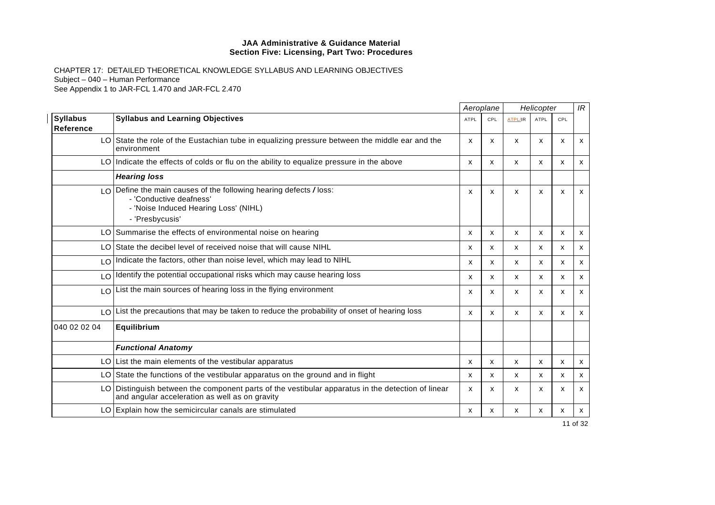|                                     |                                                                                                                                                               |                           | Aeroplane    |         | Helicopter   |              | IR           |
|-------------------------------------|---------------------------------------------------------------------------------------------------------------------------------------------------------------|---------------------------|--------------|---------|--------------|--------------|--------------|
| <b>Syllabus</b><br><b>Reference</b> | <b>Syllabus and Learning Objectives</b>                                                                                                                       | <b>ATPL</b>               | CPL          | ATPL/IR | <b>ATPL</b>  | CPL          |              |
|                                     | LO State the role of the Eustachian tube in equalizing pressure between the middle ear and the<br>environment                                                 | $\boldsymbol{\mathsf{x}}$ | X            | x       | X            | X            | X            |
|                                     | LO Indicate the effects of colds or flu on the ability to equalize pressure in the above                                                                      | X                         | $\mathsf{x}$ | x       | $\mathsf{x}$ | X            | x            |
|                                     | <b>Hearing loss</b>                                                                                                                                           |                           |              |         |              |              |              |
|                                     | $\log$ Define the main causes of the following hearing defects / loss:<br>- 'Conductive deafness'<br>- 'Noise Induced Hearing Loss' (NIHL)<br>- 'Presbycusis' | $\boldsymbol{\mathsf{x}}$ | X            | X       | X            | X            | X            |
|                                     | LO Summarise the effects of environmental noise on hearing                                                                                                    | X                         | X            | X       | X            | X            | $\mathsf{x}$ |
|                                     | LO State the decibel level of received noise that will cause NIHL                                                                                             | x                         | x            | x       | $\mathsf{x}$ | X            | X            |
|                                     | LO Indicate the factors, other than noise level, which may lead to NIHL                                                                                       | X                         | $\mathsf{x}$ | x       | $\mathsf{x}$ | $\mathsf{x}$ | X            |
|                                     | LO Identify the potential occupational risks which may cause hearing loss                                                                                     | X                         | X            | X       | $\mathsf{x}$ | x            | X            |
|                                     | $LO$ List the main sources of hearing loss in the flying environment                                                                                          | $\boldsymbol{\mathsf{x}}$ | X            | X       | $\mathsf{x}$ | X            | x            |
|                                     | $\lfloor 0 \rfloor$ List the precautions that may be taken to reduce the probability of onset of hearing loss                                                 | $\mathsf{x}$              | $\mathsf{x}$ | x       | $\mathsf{x}$ | $\mathsf{x}$ | $\mathsf{x}$ |
| 040 02 02 04                        | Equilibrium                                                                                                                                                   |                           |              |         |              |              |              |
|                                     | <b>Functional Anatomy</b>                                                                                                                                     |                           |              |         |              |              |              |
|                                     | LO List the main elements of the vestibular apparatus                                                                                                         | x                         | X            | x       | $\mathsf{x}$ | x            | x            |
|                                     | LO State the functions of the vestibular apparatus on the ground and in flight                                                                                | $\boldsymbol{\mathsf{x}}$ | X            | x       | $\mathsf{x}$ | X            | $\mathsf{x}$ |
|                                     | LO Distinguish between the component parts of the vestibular apparatus in the detection of linear<br>and angular acceleration as well as on gravity           | X                         | X            | X       | X            | x            | $\mathsf{x}$ |
|                                     | LO Explain how the semicircular canals are stimulated                                                                                                         | X                         | X            | x       | X            | X            | $\mathsf{x}$ |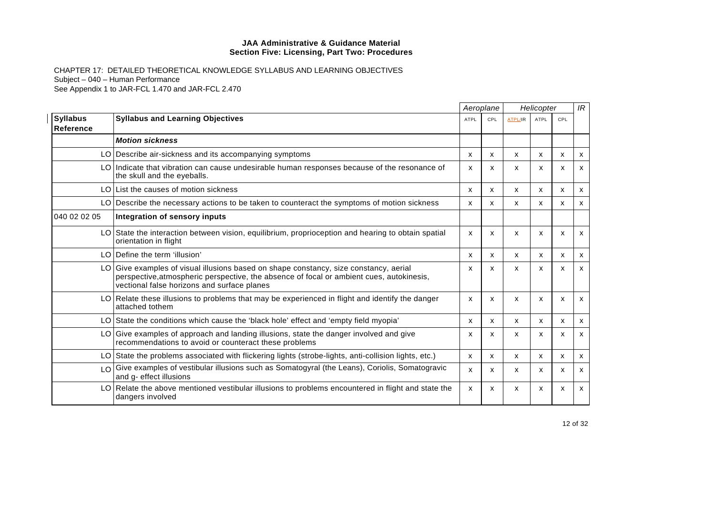|                                     |                                                                                                                                                                                                                                  | Aeroplane |     | Helicopter                |                           |     | IR                        |
|-------------------------------------|----------------------------------------------------------------------------------------------------------------------------------------------------------------------------------------------------------------------------------|-----------|-----|---------------------------|---------------------------|-----|---------------------------|
| <b>Syllabus</b><br><b>Reference</b> | <b>Syllabus and Learning Objectives</b>                                                                                                                                                                                          | ATPL      | CPL | ATPL/IR                   | <b>ATPL</b>               | CPL |                           |
|                                     | <b>Motion sickness</b>                                                                                                                                                                                                           |           |     |                           |                           |     |                           |
|                                     | LO Describe air-sickness and its accompanying symptoms                                                                                                                                                                           | x         | x   | X                         | $\boldsymbol{\mathsf{x}}$ | X   | $\mathsf{x}$              |
|                                     | LO   Indicate that vibration can cause undesirable human responses because of the resonance of<br>the skull and the eyeballs.                                                                                                    | x         | X   | X                         | X                         | X   | $\mathsf{x}$              |
|                                     | LO List the causes of motion sickness                                                                                                                                                                                            | X         | x   | X                         | X                         | X   | $\mathsf{x}$              |
|                                     | LO Describe the necessary actions to be taken to counteract the symptoms of motion sickness                                                                                                                                      | x         | x   | X                         | X                         | x   | x                         |
| 040 02 02 05                        | Integration of sensory inputs                                                                                                                                                                                                    |           |     |                           |                           |     |                           |
|                                     | LO State the interaction between vision, equilibrium, proprioception and hearing to obtain spatial<br>orientation in flight                                                                                                      | X         | X   | $\boldsymbol{\mathsf{x}}$ | x                         | X   | $\mathsf{x}$              |
|                                     | LO Define the term 'illusion'                                                                                                                                                                                                    | X         | X   | X                         | X                         | X   | x                         |
|                                     | LO Give examples of visual illusions based on shape constancy, size constancy, aerial<br>perspective, atmospheric perspective, the absence of focal or ambient cues, autokinesis,<br>vectional false horizons and surface planes | x         | X   | X                         | X                         | X   | $\boldsymbol{\mathsf{x}}$ |
|                                     | LO Relate these illusions to problems that may be experienced in flight and identify the danger<br>attached tothem                                                                                                               | x         | X   | X                         | X                         | x   | x                         |
|                                     | LO State the conditions which cause the 'black hole' effect and 'empty field myopia'                                                                                                                                             | X         | X   | X                         | X                         | X   | x                         |
|                                     | LO Give examples of approach and landing illusions, state the danger involved and give<br>recommendations to avoid or counteract these problems                                                                                  | x         | x   | $\boldsymbol{\mathsf{x}}$ | X                         | X   | X                         |
|                                     | LO State the problems associated with flickering lights (strobe-lights, anti-collision lights, etc.)                                                                                                                             | x         | x   | $\mathsf{x}$              | x                         | X   | $\boldsymbol{\mathsf{x}}$ |
| LO <sup>1</sup>                     | Give examples of vestibular illusions such as Somatogyral (the Leans), Coriolis, Somatogravic<br>and g- effect illusions                                                                                                         | x         | x   | X                         | X                         | x   | X                         |
|                                     | LO Relate the above mentioned vestibular illusions to problems encountered in flight and state the<br>dangers involved                                                                                                           | X         | X   | X                         | X                         | X   | $\mathsf{x}$              |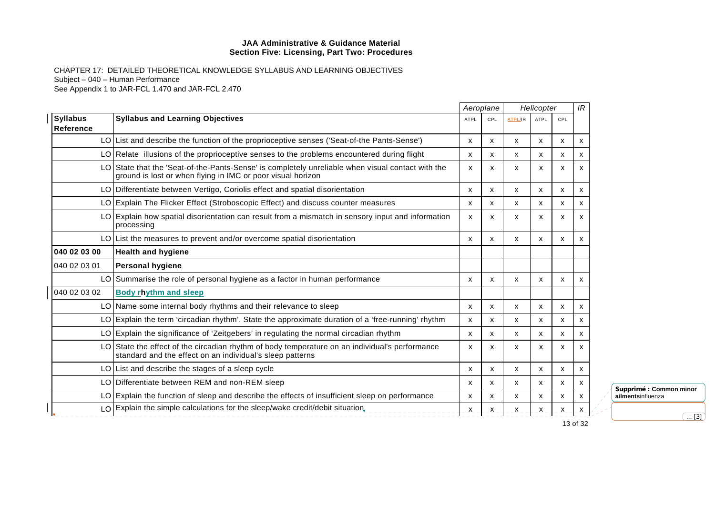CHAPTER 17: DETAILED THEORETICAL KNOWLEDGE SYLLABUS AND LEARNING OBJECTIVES Subject – 040 – Human Performance See Appendix 1 to JAR-FCL 1.470 and JAR-FCL 2.470

|                                     |                                                                                                                                                                  |             | Aeroplane |                | Helicopter  |      | IR      |
|-------------------------------------|------------------------------------------------------------------------------------------------------------------------------------------------------------------|-------------|-----------|----------------|-------------|------|---------|
| <b>Syllabus</b><br><b>Reference</b> | <b>Syllabus and Learning Objectives</b>                                                                                                                          | <b>ATPL</b> | CPL       | <b>ATPL/IR</b> | <b>ATPL</b> | CPL  |         |
|                                     | LO List and describe the function of the proprioceptive senses ('Seat-of-the Pants-Sense')                                                                       | x           | x         | x              | x           | X    | X       |
|                                     | LO Relate illusions of the proprioceptive senses to the problems encountered during flight                                                                       | x           | x         | x              | X           | x    | X       |
|                                     | LO State that the 'Seat-of-the-Pants-Sense' is completely unreliable when visual contact with the<br>ground is lost or when flying in IMC or poor visual horizon | X           | x         | x              | x           | x    | X       |
|                                     | LO Differentiate between Vertigo, Coriolis effect and spatial disorientation                                                                                     | х           | x         | x              | x           | x    | х       |
|                                     | LO Explain The Flicker Effect (Stroboscopic Effect) and discuss counter measures                                                                                 | x           | x         | x              | x           | х    | х       |
|                                     | LO Explain how spatial disorientation can result from a mismatch in sensory input and information<br>processing                                                  | X           | x         | X              | X           | x    | X       |
|                                     | LO List the measures to prevent and/or overcome spatial disorientation                                                                                           | x           | x         | x              | x           | x    | х       |
| 040 02 03 00                        | <b>Health and hygiene</b>                                                                                                                                        |             |           |                |             |      |         |
| 040 02 03 01                        | <b>Personal hygiene</b>                                                                                                                                          |             |           |                |             |      |         |
|                                     | LO Summarise the role of personal hygiene as a factor in human performance                                                                                       | x           | X         | x              | x           | X    | х       |
| 040 02 03 02                        | <b>Body rhythm and sleep</b>                                                                                                                                     |             |           |                |             |      |         |
|                                     | LO Name some internal body rhythms and their relevance to sleep                                                                                                  | x           | x         | x              | х           | х    | х       |
|                                     | LO Explain the term 'circadian rhythm'. State the approximate duration of a 'free-running' rhythm                                                                | X           | X         | x              | X           | X    | X       |
|                                     | LO Explain the significance of 'Zeitgebers' in regulating the normal circadian rhythm                                                                            | x           | x         | x              | x           | x    | X       |
|                                     | LO State the effect of the circadian rhythm of body temperature on an individual's performance<br>standard and the effect on an individual's sleep patterns      | X           | X         | X              | x           | x    | X       |
|                                     | LO List and describe the stages of a sleep cycle                                                                                                                 | х           | х         | x              | х           | x    | х       |
|                                     | LO Differentiate between REM and non-REM sleep                                                                                                                   | x           | x         | x              | х           | х    | х       |
|                                     | LO Explain the function of sleep and describe the effects of insufficient sleep on performance                                                                   | X           | X         | x              | X           | X    | X       |
|                                     | $LO$ Explain the simple calculations for the sleep/wake credit/debit situation,                                                                                  | _ X .       | $-X$ $-$  | $X_{-}$        | $X -$       | _ X_ | $X_{-}$ |

**Supprimé : Common minor ailments**influenza  $\boxed{... [3]}$ 

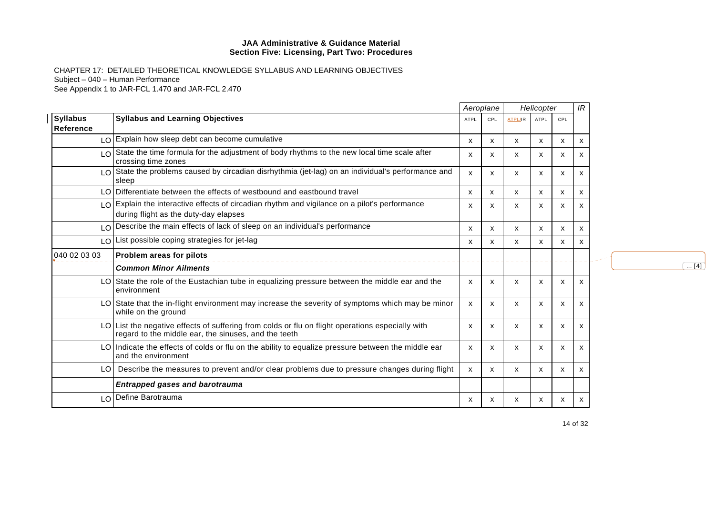|                              |                                                                                                                                                       |                           | Aeroplane                 |                           | Helicopter |     | IR                        |                         |
|------------------------------|-------------------------------------------------------------------------------------------------------------------------------------------------------|---------------------------|---------------------------|---------------------------|------------|-----|---------------------------|-------------------------|
| <b>Syllabus</b><br>Reference | <b>Syllabus and Learning Objectives</b>                                                                                                               | <b>ATPL</b>               | CPL                       | <b>ATPL/IR</b>            | ATPL       | CPL |                           |                         |
|                              | LO Explain how sleep debt can become cumulative                                                                                                       | x                         | $\boldsymbol{\mathsf{x}}$ | $\mathsf{x}$              | X          | X   | $\boldsymbol{\mathsf{x}}$ |                         |
| LO                           | State the time formula for the adjustment of body rhythms to the new local time scale after<br>crossing time zones                                    | x                         | х                         | X                         | x          | x   | x                         |                         |
|                              | LO State the problems caused by circadian disrhythmia (jet-lag) on an individual's performance and<br>sleep                                           | X                         | X                         | $\boldsymbol{\mathsf{x}}$ | X          | X   | x                         |                         |
|                              | LO Differentiate between the effects of westbound and eastbound travel                                                                                | х                         | x                         | x                         | х          | х   | x                         |                         |
| $\overline{O}$               | Explain the interactive effects of circadian rhythm and vigilance on a pilot's performance<br>during flight as the duty-day elapses                   | x                         | х                         | х                         | х          | x   | x                         |                         |
| LO                           | Describe the main effects of lack of sleep on an individual's performance                                                                             | х                         | X                         | x                         | x          | x   | x                         |                         |
| LO.                          | List possible coping strategies for jet-lag                                                                                                           | х                         | х                         | x                         | x          | x   | X                         |                         |
| 040 02 03 03                 | Problem areas for pilots                                                                                                                              |                           |                           |                           |            |     |                           |                         |
|                              | <b>Common Minor Ailments</b>                                                                                                                          |                           |                           |                           |            |     |                           | $\overline{\ldots [4]}$ |
|                              | LO State the role of the Eustachian tube in equalizing pressure between the middle ear and the<br>environment                                         | $\boldsymbol{\mathsf{x}}$ | $\mathsf{x}$              | $\boldsymbol{\mathsf{x}}$ | x          | X   | X                         |                         |
|                              | LO State that the in-flight environment may increase the severity of symptoms which may be minor<br>while on the ground                               | x                         | X                         | x                         | x          | x   | x                         |                         |
| LO.                          | List the negative effects of suffering from colds or flu on flight operations especially with<br>regard to the middle ear, the sinuses, and the teeth | X                         | х                         | X                         | x          | X   | x                         |                         |
|                              | $LO$ Indicate the effects of colds or flu on the ability to equalize pressure between the middle ear<br>and the environment                           | X                         | X                         | X                         | x          | х   | X                         |                         |
| LO                           | Describe the measures to prevent and/or clear problems due to pressure changes during flight                                                          | X.                        | $\boldsymbol{\mathsf{x}}$ | X                         | x          | X   | x                         |                         |
|                              | <b>Entrapped gases and barotrauma</b>                                                                                                                 |                           |                           |                           |            |     |                           |                         |
| LO                           | Define Barotrauma                                                                                                                                     | x                         | X                         | X                         | x          | x   | x                         |                         |
|                              |                                                                                                                                                       |                           |                           |                           |            |     |                           |                         |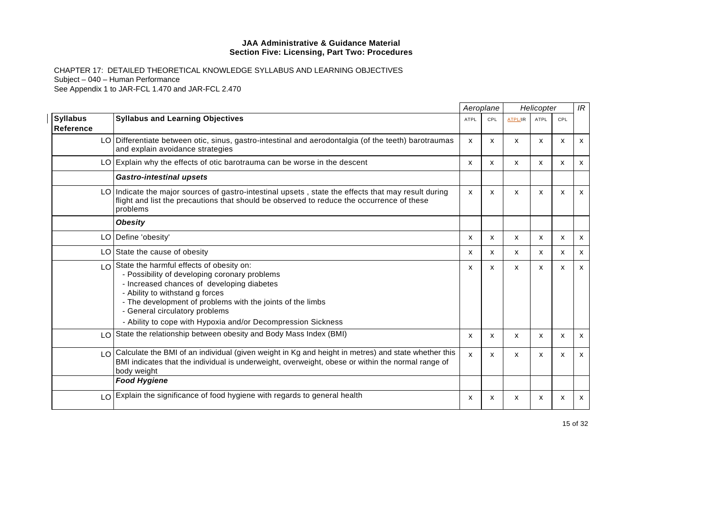|                                     |                                                                                                                                                                                                                                                                                                                                                                 |              | Aeroplane    |              | Helicopter   |     | IR           |
|-------------------------------------|-----------------------------------------------------------------------------------------------------------------------------------------------------------------------------------------------------------------------------------------------------------------------------------------------------------------------------------------------------------------|--------------|--------------|--------------|--------------|-----|--------------|
| <b>Syllabus</b><br><b>Reference</b> | <b>Syllabus and Learning Objectives</b>                                                                                                                                                                                                                                                                                                                         | <b>ATPL</b>  | CPL          | ATPL/IR      | <b>ATPL</b>  | CPL |              |
|                                     | LO Differentiate between otic, sinus, gastro-intestinal and aerodontalgia (of the teeth) barotraumas<br>and explain avoidance strategies                                                                                                                                                                                                                        | $\mathsf{x}$ | X            | x            | X            | X   | $\mathsf{x}$ |
|                                     | LO Explain why the effects of otic barotrauma can be worse in the descent                                                                                                                                                                                                                                                                                       | X            | X            | $\mathsf{x}$ | X            | X   | $\mathsf{x}$ |
|                                     | <b>Gastro-intestinal upsets</b>                                                                                                                                                                                                                                                                                                                                 |              |              |              |              |     |              |
|                                     | LO Indicate the major sources of gastro-intestinal upsets, state the effects that may result during<br>flight and list the precautions that should be observed to reduce the occurrence of these<br>problems                                                                                                                                                    | $\mathsf{x}$ | X            | X            | X            | X   | X            |
|                                     | <b>Obesity</b>                                                                                                                                                                                                                                                                                                                                                  |              |              |              |              |     |              |
|                                     | LO Define 'obesity'                                                                                                                                                                                                                                                                                                                                             | X            | X            | X            | $\mathsf{x}$ | X   | x            |
|                                     | LO State the cause of obesity                                                                                                                                                                                                                                                                                                                                   | X            | $\mathsf{x}$ | x            | $\mathsf{x}$ | X   | $\mathsf{x}$ |
|                                     | $\log  \cos \theta $ State the harmful effects of obesity on:<br>- Possibility of developing coronary problems<br>- Increased chances of developing diabetes<br>- Ability to withstand g forces<br>- The development of problems with the joints of the limbs<br>- General circulatory problems<br>- Ability to cope with Hypoxia and/or Decompression Sickness | х            | X            | x            | x            | X   | X            |
|                                     | LO State the relationship between obesity and Body Mass Index (BMI)                                                                                                                                                                                                                                                                                             | x            | х            | x            | X            | X   | X            |
|                                     | LO Calculate the BMI of an individual (given weight in Kg and height in metres) and state whether this<br>BMI indicates that the individual is underweight, overweight, obese or within the normal range of<br>body weight                                                                                                                                      | $\mathsf{x}$ | X            | X            | X            | X   | $\mathsf{x}$ |
|                                     | <b>Food Hygiene</b>                                                                                                                                                                                                                                                                                                                                             |              |              |              |              |     |              |
|                                     | LO Explain the significance of food hygiene with regards to general health                                                                                                                                                                                                                                                                                      | х            | X            | X            | x            | x   | X            |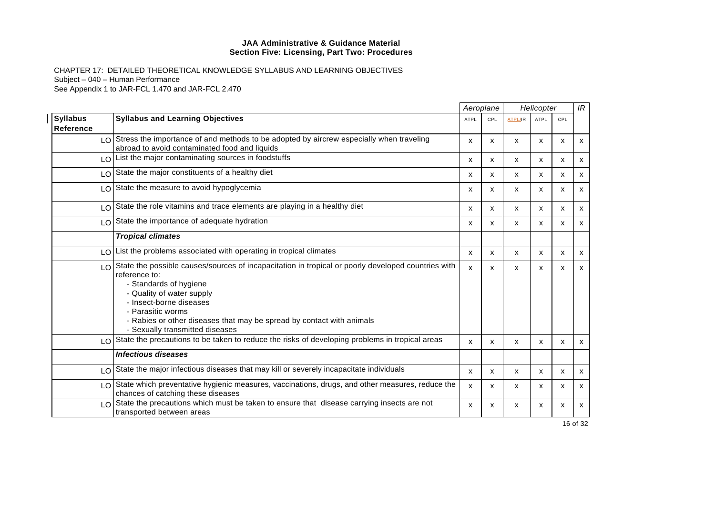CHAPTER 17: DETAILED THEORETICAL KNOWLEDGE SYLLABUS AND LEARNING OBJECTIVES Subject – 040 – Human Performance See Appendix 1 to JAR-FCL 1.470 and JAR-FCL 2.470

|                              |                                                                                                                                                                                                                                                                                                                                           |                           | Aeroplane    |                | Helicopter   |            | IR           |
|------------------------------|-------------------------------------------------------------------------------------------------------------------------------------------------------------------------------------------------------------------------------------------------------------------------------------------------------------------------------------------|---------------------------|--------------|----------------|--------------|------------|--------------|
| <b>Syllabus</b><br>Reference | <b>Syllabus and Learning Objectives</b>                                                                                                                                                                                                                                                                                                   | <b>ATPL</b>               | CPL          | <b>ATPL/IR</b> | <b>ATPL</b>  | <b>CPL</b> |              |
|                              | LO Stress the importance of and methods to be adopted by aircrew especially when traveling<br>abroad to avoid contaminated food and liquids                                                                                                                                                                                               | X                         | X            | X              | X            | X          | $\mathsf{x}$ |
|                              | LO List the major contaminating sources in foodstuffs                                                                                                                                                                                                                                                                                     | $\mathsf{x}$              | $\mathsf{x}$ | X              | $\mathsf{x}$ | X          | $\mathsf{x}$ |
|                              | LO State the major constituents of a healthy diet                                                                                                                                                                                                                                                                                         | X                         | X            | x              | $\mathsf{x}$ | X          | X            |
|                              | LO State the measure to avoid hypoglycemia                                                                                                                                                                                                                                                                                                | $\mathsf{x}$              | x            | X              | X            | x          | X            |
|                              | $LO$ State the role vitamins and trace elements are playing in a healthy diet                                                                                                                                                                                                                                                             | X                         | X            | x              | $\mathsf{x}$ | X          | x            |
|                              | LO State the importance of adequate hydration                                                                                                                                                                                                                                                                                             | $\mathsf{x}$              | X            | x              | $\mathsf{x}$ | X          | X            |
|                              | <b>Tropical climates</b>                                                                                                                                                                                                                                                                                                                  |                           |              |                |              |            |              |
| LO I                         | List the problems associated with operating in tropical climates                                                                                                                                                                                                                                                                          | $\mathsf{x}$              | X            | X              | X            | X          | $\mathsf{x}$ |
|                              | LO State the possible causes/sources of incapacitation in tropical or poorly developed countries with<br>reference to:<br>- Standards of hygiene<br>- Quality of water supply<br>- Insect-borne diseases<br>- Parasitic worms<br>- Rabies or other diseases that may be spread by contact with animals<br>- Sexually transmitted diseases | $\boldsymbol{\mathsf{x}}$ | x            | x              | X            | x          | X            |
|                              | LO State the precautions to be taken to reduce the risks of developing problems in tropical areas                                                                                                                                                                                                                                         | $\mathsf{x}$              | X            | X              | X            | X          | $\mathsf{x}$ |
|                              | <b>Infectious diseases</b>                                                                                                                                                                                                                                                                                                                |                           |              |                |              |            |              |
|                              | LO State the major infectious diseases that may kill or severely incapacitate individuals                                                                                                                                                                                                                                                 | $\mathsf{x}$              | X            | x              | X            | X          | $\mathsf{x}$ |
| LO I                         | State which preventative hygienic measures, vaccinations, drugs, and other measures, reduce the<br>chances of catching these diseases                                                                                                                                                                                                     | $\mathsf{x}$              | x            | x              | X            | X          | x            |
|                              | $\lfloor 0 \rfloor$ State the precautions which must be taken to ensure that disease carrying insects are not<br>transported between areas                                                                                                                                                                                                | X                         | X            | X              | X            | x          | X            |

16 of 32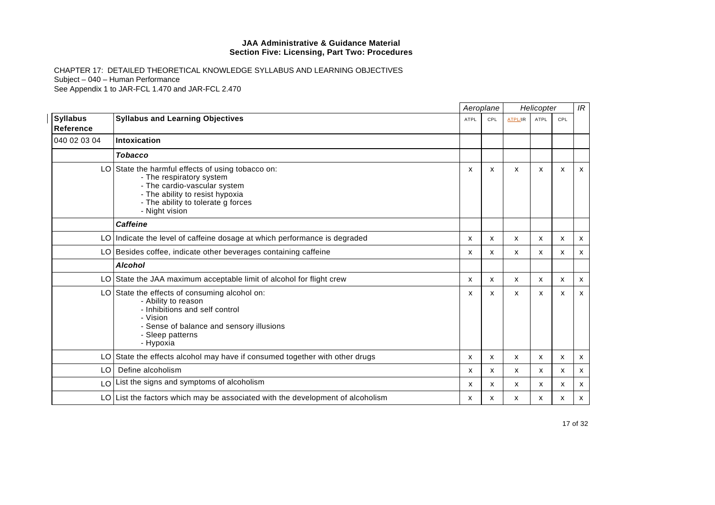|                                     |                                                                                                                                                                                                          |                           | Aeroplane                 |         | Helicopter                |                           | IR                        |
|-------------------------------------|----------------------------------------------------------------------------------------------------------------------------------------------------------------------------------------------------------|---------------------------|---------------------------|---------|---------------------------|---------------------------|---------------------------|
| <b>Syllabus</b><br><b>Reference</b> | <b>Syllabus and Learning Objectives</b>                                                                                                                                                                  | ATPL                      | CPL                       | ATPL/IR | ATPL                      | CPL                       |                           |
| 040 02 03 04                        | Intoxication                                                                                                                                                                                             |                           |                           |         |                           |                           |                           |
|                                     | <b>Tobacco</b>                                                                                                                                                                                           |                           |                           |         |                           |                           |                           |
|                                     | LO State the harmful effects of using tobacco on:<br>- The respiratory system<br>- The cardio-vascular system<br>- The ability to resist hypoxia<br>- The ability to tolerate g forces<br>- Night vision | х                         | х                         | X       | x                         | x                         | x                         |
|                                     | <b>Caffeine</b>                                                                                                                                                                                          |                           |                           |         |                           |                           |                           |
|                                     | LO Indicate the level of caffeine dosage at which performance is degraded                                                                                                                                | X                         | $\boldsymbol{\mathsf{x}}$ | X       | $\boldsymbol{\mathsf{x}}$ | $\boldsymbol{\mathsf{x}}$ | $\boldsymbol{\mathsf{x}}$ |
|                                     | LO Besides coffee, indicate other beverages containing caffeine                                                                                                                                          | $\boldsymbol{\mathsf{x}}$ | $\boldsymbol{\mathsf{x}}$ | X       | X                         | X                         | X                         |
|                                     | <b>Alcohol</b>                                                                                                                                                                                           |                           |                           |         |                           |                           |                           |
|                                     | LO State the JAA maximum acceptable limit of alcohol for flight crew                                                                                                                                     | X                         | $\boldsymbol{\mathsf{x}}$ | X       | X                         | X                         | $\mathsf{x}$              |
|                                     | LO State the effects of consuming alcohol on:<br>- Ability to reason<br>- Inhibitions and self control<br>- Vision<br>- Sense of balance and sensory illusions<br>- Sleep patterns<br>- Hypoxia          | x                         | х                         | X       | x                         | х                         | x                         |
|                                     | LO State the effects alcohol may have if consumed together with other drugs                                                                                                                              | X                         | $\boldsymbol{\mathsf{x}}$ | x       | X                         | X                         | $\mathsf{x}$              |
| LO.                                 | Define alcoholism                                                                                                                                                                                        | х                         | х                         | X       | x                         | x                         | x                         |
|                                     | LO   List the signs and symptoms of alcoholism                                                                                                                                                           | X                         | X                         | x       | x                         | x                         | x                         |
|                                     | $LO$ List the factors which may be associated with the development of alcoholism                                                                                                                         | x                         | X                         | X       | X                         | x                         | x                         |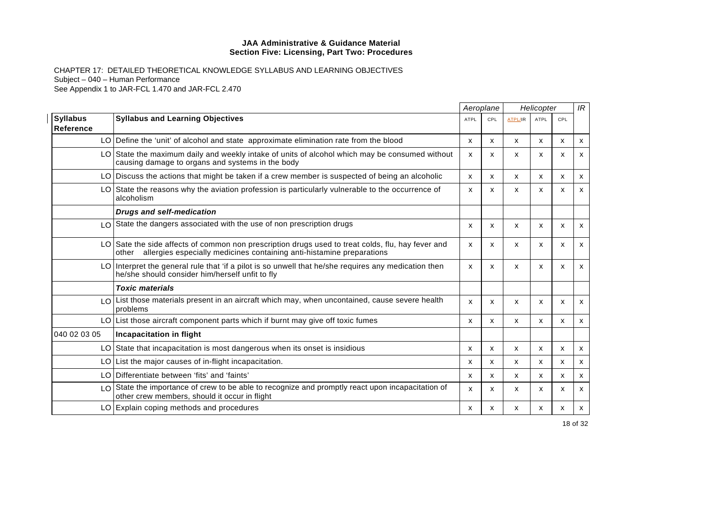|                                     |                                                                                                                                                                                     |                           | Aeroplane                 |                | Helicopter                |                           | IR |
|-------------------------------------|-------------------------------------------------------------------------------------------------------------------------------------------------------------------------------------|---------------------------|---------------------------|----------------|---------------------------|---------------------------|----|
| <b>Syllabus</b><br><b>Reference</b> | <b>Syllabus and Learning Objectives</b>                                                                                                                                             | <b>ATPL</b>               | <b>CPL</b>                | <b>ATPL/IR</b> | ATPL                      | CPL                       |    |
|                                     | LO Define the 'unit' of alcohol and state approximate elimination rate from the blood                                                                                               | x                         | X                         | x              | X                         | x                         | x  |
|                                     | LO State the maximum daily and weekly intake of units of alcohol which may be consumed without<br>causing damage to organs and systems in the body                                  | X                         | X                         | X              | X                         | $\boldsymbol{\mathsf{x}}$ | x  |
|                                     | LO   Discuss the actions that might be taken if a crew member is suspected of being an alcoholic                                                                                    | $\boldsymbol{\mathsf{x}}$ | X                         | X              | X                         | X                         | x  |
|                                     | LO State the reasons why the aviation profession is particularly vulnerable to the occurrence of<br>alcoholism                                                                      | X                         | $\boldsymbol{\mathsf{x}}$ | х              | х                         | x                         | x  |
|                                     | <b>Drugs and self-medication</b>                                                                                                                                                    |                           |                           |                |                           |                           |    |
| LO.                                 | State the dangers associated with the use of non prescription drugs                                                                                                                 | X                         | X                         | X              | X                         | $\boldsymbol{\mathsf{x}}$ | x  |
|                                     | LO Sate the side affects of common non prescription drugs used to treat colds, flu, hay fever and<br>allergies especially medicines containing anti-histamine preparations<br>other | X                         | X                         | X              | X                         | X                         | x  |
| LO.                                 | Interpret the general rule that 'if a pilot is so unwell that he/she requires any medication then<br>he/she should consider him/herself unfit to fly                                | X                         | X                         | x              | x                         | x                         | x  |
|                                     | <b>Toxic materials</b>                                                                                                                                                              |                           |                           |                |                           |                           |    |
| LO                                  | List those materials present in an aircraft which may, when uncontained, cause severe health<br>problems                                                                            | $\mathsf{x}$              | $\boldsymbol{\mathsf{x}}$ | x              | x                         | $\boldsymbol{\mathsf{x}}$ | x  |
|                                     | LO List those aircraft component parts which if burnt may give off toxic fumes                                                                                                      | x                         | x                         | x              | x                         | $\boldsymbol{\mathsf{x}}$ | x  |
| 040 02 03 05                        | Incapacitation in flight                                                                                                                                                            |                           |                           |                |                           |                           |    |
|                                     | LO State that incapacitation is most dangerous when its onset is insidious                                                                                                          | X                         | x                         | x              | $\boldsymbol{\mathsf{x}}$ | $\boldsymbol{\mathsf{x}}$ | x  |
| LO I                                | List the major causes of in-flight incapacitation.                                                                                                                                  | x                         | x                         | х              | x                         | x                         | x  |
|                                     | LO Differentiate between 'fits' and 'faints'                                                                                                                                        | x                         | X                         | x              | x                         | х                         | x  |
| LOI                                 | State the importance of crew to be able to recognize and promptly react upon incapacitation of<br>other crew members, should it occur in flight                                     | x                         | X                         | X              | x                         | $\boldsymbol{\mathsf{x}}$ | x  |
|                                     | LO Explain coping methods and procedures                                                                                                                                            | x                         | X                         | x              | X                         | x                         | x  |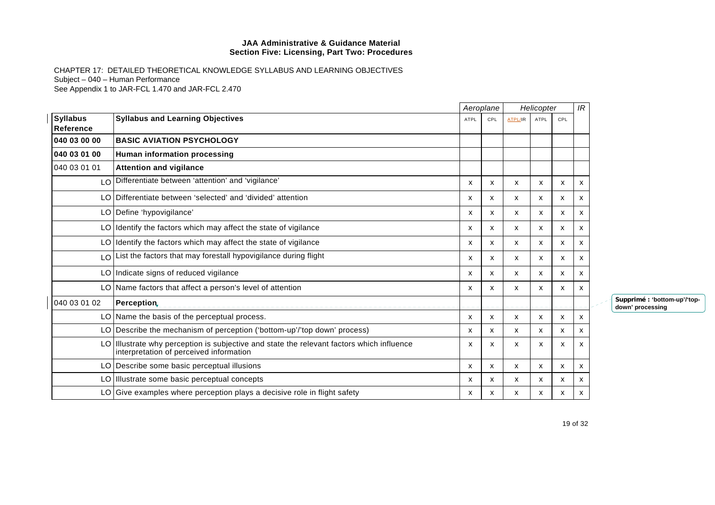CHAPTER 17: DETAILED THEORETICAL KNOWLEDGE SYLLABUS AND LEARNING OBJECTIVES Subject – 040 – Human Performance See Appendix 1 to JAR-FCL 1.470 and JAR-FCL 2.470

|                              |                                                                                                                                      |                           | Aeroplane |                | Helicopter   |     | IR |  |
|------------------------------|--------------------------------------------------------------------------------------------------------------------------------------|---------------------------|-----------|----------------|--------------|-----|----|--|
| <b>Syllabus</b><br>Reference | <b>Syllabus and Learning Objectives</b>                                                                                              | <b>ATPL</b>               | CPL       | <b>ATPL/IR</b> | ATPL         | CPL |    |  |
| 040 03 00 00                 | <b>BASIC AVIATION PSYCHOLOGY</b>                                                                                                     |                           |           |                |              |     |    |  |
| 040 03 01 00                 | Human information processing                                                                                                         |                           |           |                |              |     |    |  |
| 040 03 01 01                 | <b>Attention and vigilance</b>                                                                                                       |                           |           |                |              |     |    |  |
| LO                           | Differentiate between 'attention' and 'vigilance'                                                                                    | $\boldsymbol{\mathsf{x}}$ | x         | X              | X            | x   | X  |  |
| LO.                          | Differentiate between 'selected' and 'divided' attention                                                                             | х                         | x         | x              | x            | x   | х  |  |
|                              | LO Define 'hypovigilance'                                                                                                            | X                         | x         | х              | x            | x   | X  |  |
|                              | LO Identify the factors which may affect the state of vigilance                                                                      | $\boldsymbol{\mathsf{x}}$ | X         | X              | $\mathsf{x}$ | x   | X  |  |
|                              | LO Identify the factors which may affect the state of vigilance                                                                      | x                         | х         | x              | x            | x   | x  |  |
| $\overline{0}$               | List the factors that may forestall hypovigilance during flight                                                                      | $\boldsymbol{\mathsf{x}}$ | x         | x              | X            | x   | x  |  |
|                              | LO Indicate signs of reduced vigilance                                                                                               | $\boldsymbol{\mathsf{x}}$ | X         | x              | X            | x   | X  |  |
|                              | LO Name factors that affect a person's level of attention                                                                            | X                         | x         | X              | X            | x   | X  |  |
| 040 03 01 02                 | Perception,                                                                                                                          |                           |           |                |              |     |    |  |
|                              | LO Name the basis of the perceptual process.                                                                                         | X                         | X         | X              | x            | x   | X  |  |
|                              | LO   Describe the mechanism of perception ('bottom-up'/'top down' process)                                                           | x                         | х         | x              | x            | x   | x  |  |
|                              | LO Illustrate why perception is subjective and state the relevant factors which influence<br>interpretation of perceived information | X                         | x         | X              | X            | x   | X  |  |
|                              | LO Describe some basic perceptual illusions                                                                                          | X                         | x         | X              | X            | x   | X  |  |
|                              | LO Illustrate some basic perceptual concepts                                                                                         | X                         | X         | X              | X            | x   | х  |  |
|                              | $LO G$ Give examples where perception plays a decisive role in flight safety                                                         | x                         | х         | х              | х            | x   | х  |  |

**Supprimé : 'bottom-up'/'topdown' processing**

19 of 32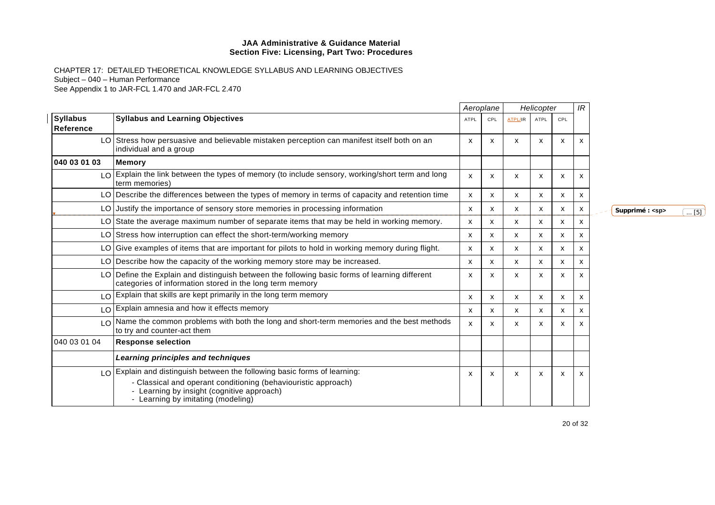CHAPTER 17: DETAILED THEORETICAL KNOWLEDGE SYLLABUS AND LEARNING OBJECTIVES Subject – 040 – Human Performance See Appendix 1 to JAR-FCL 1.470 and JAR-FCL 2.470

|                               |                                                                                                                                                           |             | Aeroplane |                | Helicopter  |     |   |  |
|-------------------------------|-----------------------------------------------------------------------------------------------------------------------------------------------------------|-------------|-----------|----------------|-------------|-----|---|--|
| <b>Syllabus</b><br>Reference  | <b>Syllabus and Learning Objectives</b>                                                                                                                   | <b>ATPL</b> | CPL       | <b>ATPL/IR</b> | <b>ATPL</b> | CPL |   |  |
| LO I                          | Stress how persuasive and believable mistaken perception can manifest itself both on an<br>individual and a group                                         | X           | X         | X              | x           | X   | x |  |
| 040 03 01 03                  | <b>Memory</b>                                                                                                                                             |             |           |                |             |     |   |  |
| $\overline{1}$ $\overline{0}$ | Explain the link between the types of memory (to include sensory, working/short term and long<br>term memories)                                           | x           | х         | х              | x           | x   | x |  |
|                               | LO Describe the differences between the types of memory in terms of capacity and retention time                                                           | х           | X         | X              | X           | X   | x |  |
| LO.                           | Justify the importance of sensory store memories in processing information                                                                                | х           | x         | x              | X           | x   | x |  |
| LO.                           | State the average maximum number of separate items that may be held in working memory.                                                                    | x           | x         | X              | x           | X   | x |  |
| LO I                          | Stress how interruption can effect the short-term/working memory                                                                                          | X           | x         | X              | x           | X   | x |  |
| LO.                           | Give examples of items that are important for pilots to hold in working memory during flight.                                                             | X           | x         | X              | x           | x   | x |  |
|                               | LO Describe how the capacity of the working memory store may be increased.                                                                                | x           | x         | X              | x           | x   | x |  |
|                               | LO Define the Explain and distinguish between the following basic forms of learning different<br>categories of information stored in the long term memory | х           | x         | x              | X           | x   | x |  |
|                               | LO Explain that skills are kept primarily in the long term memory                                                                                         | х           | x         | x              | x           | x   | x |  |
| LO                            | Explain amnesia and how it effects memory                                                                                                                 | X           | X         | x              | X           | x   | x |  |
| $\overline{0}$                | Name the common problems with both the long and short-term memories and the best methods<br>to try and counter-act them                                   | x           | x         | X              | x           | x   | x |  |
| 040 03 01 04                  | <b>Response selection</b>                                                                                                                                 |             |           |                |             |     |   |  |
|                               | Learning principles and techniques                                                                                                                        |             |           |                |             |     |   |  |
|                               | $\log$ Explain and distinguish between the following basic forms of learning:<br>- Classical and operant conditioning (behaviouristic approach)           | х           | х         | X              | x           | x   | x |  |
|                               | - Learning by insight (cognitive approach)<br>- Learning by imitating (modeling)                                                                          |             |           |                |             |     |   |  |

 $\boxed{\mathsf{Supportim\'e}: \textsf{}}$  ... [5]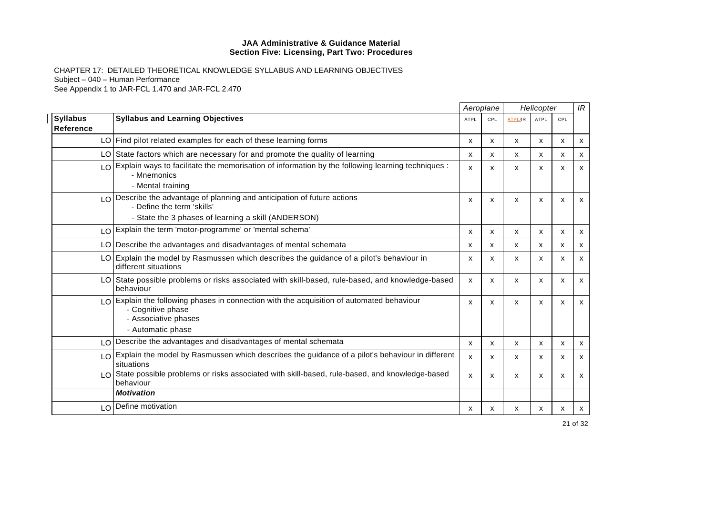CHAPTER 17: DETAILED THEORETICAL KNOWLEDGE SYLLABUS AND LEARNING OBJECTIVES Subject – 040 – Human Performance See Appendix 1 to JAR-FCL 1.470 and JAR-FCL 2.470

|                              |                                                                                                                                                                              |             | Aeroplane                 |                | Helicopter                |     | IR                        |
|------------------------------|------------------------------------------------------------------------------------------------------------------------------------------------------------------------------|-------------|---------------------------|----------------|---------------------------|-----|---------------------------|
| <b>Syllabus</b><br>Reference | <b>Syllabus and Learning Objectives</b>                                                                                                                                      | <b>ATPL</b> | CPL                       | <b>ATPL/IR</b> | <b>ATPL</b>               | CPL |                           |
|                              | LO Find pilot related examples for each of these learning forms                                                                                                              | x           | x                         | х              | x                         | x   | X                         |
|                              | LO State factors which are necessary for and promote the quality of learning                                                                                                 | x           | X                         | X              | X                         | X   | X                         |
|                              | LO Explain ways to facilitate the memorisation of information by the following learning techniques :<br>- Mnemonics                                                          | X           | $\boldsymbol{\mathsf{x}}$ | X              | $\mathsf{x}$              | X   | $\mathsf{x}$              |
|                              | - Mental training                                                                                                                                                            |             |                           |                |                           |     |                           |
|                              | $LO$ Describe the advantage of planning and anticipation of future actions<br>- Define the term 'skills'                                                                     | X           | X                         | X              | X                         | X   | $\mathsf{x}$              |
|                              | - State the 3 phases of learning a skill (ANDERSON)                                                                                                                          |             |                           |                |                           |     |                           |
|                              | LO Explain the term 'motor-programme' or 'mental schema'                                                                                                                     | X           | X                         | X              | $\mathsf{x}$              | X   | $\boldsymbol{\mathsf{x}}$ |
|                              | LO Describe the advantages and disadvantages of mental schemata                                                                                                              | х           | x                         | x              | x                         | х   | $\boldsymbol{\mathsf{x}}$ |
|                              | LO Explain the model by Rasmussen which describes the guidance of a pilot's behaviour in<br>different situations                                                             | X           | X                         | X              | X                         | X   | X                         |
|                              | LO State possible problems or risks associated with skill-based, rule-based, and knowledge-based<br>behaviour                                                                | X           | $\boldsymbol{\mathsf{x}}$ | X              | $\mathsf{x}$              | X   | $\mathsf{x}$              |
|                              | $\lfloor 0 \rfloor$ Explain the following phases in connection with the acquisition of automated behaviour<br>- Cognitive phase<br>- Associative phases<br>- Automatic phase | X           | $\boldsymbol{\mathsf{x}}$ | X              | $\boldsymbol{\mathsf{x}}$ | X   | $\mathsf{x}$              |
|                              | LO Describe the advantages and disadvantages of mental schemata                                                                                                              | X           | X                         | X              | $\mathsf{x}$              | X   | $\mathsf{x}$              |
|                              | LO Explain the model by Rasmussen which describes the guidance of a pilot's behaviour in different<br>situations                                                             | X           | X                         | X              | X                         | X   | $\mathsf{x}$              |
|                              | LO State possible problems or risks associated with skill-based, rule-based, and knowledge-based<br>behaviour                                                                | X           | X                         | X              | X                         | x   | $\mathsf{x}$              |
|                              | <b>Motivation</b>                                                                                                                                                            |             |                           |                |                           |     |                           |
|                              | LO Define motivation                                                                                                                                                         | х           | х                         | x              | х                         | х   | X                         |

21 of 32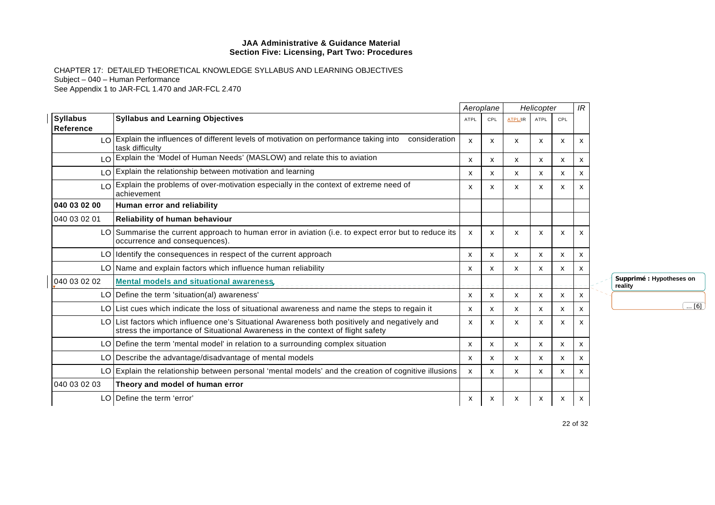|                                     |                                                                                                                                                                                  |              | Aeroplane |                           | Helicopter                |     | IR |                                     |
|-------------------------------------|----------------------------------------------------------------------------------------------------------------------------------------------------------------------------------|--------------|-----------|---------------------------|---------------------------|-----|----|-------------------------------------|
| <b>Syllabus</b><br><b>Reference</b> | <b>Syllabus and Learning Objectives</b>                                                                                                                                          | <b>ATPL</b>  | CPL       | ATPL/IR                   | ATPL                      | CPL |    |                                     |
|                                     | $LO$ Explain the influences of different levels of motivation on performance taking into<br>consideration<br>task difficulty                                                     | $\mathsf{x}$ | X         | $\boldsymbol{\mathsf{x}}$ | X                         | X   | x  |                                     |
|                                     | LO Explain the 'Model of Human Needs' (MASLOW) and relate this to aviation                                                                                                       | x            | X         | $\mathsf{x}$              | $\boldsymbol{\mathsf{x}}$ | X   | x  |                                     |
|                                     | $LO$ Explain the relationship between motivation and learning                                                                                                                    | $\mathsf{x}$ | X         | $\boldsymbol{\mathsf{x}}$ | X                         | X   | х  |                                     |
|                                     | Explain the problems of over-motivation especially in the context of extreme need of<br>achievement                                                                              | $\mathsf{x}$ | x         | X                         | X                         | X   |    |                                     |
| 040 03 02 00                        | Human error and reliability                                                                                                                                                      |              |           |                           |                           |     |    |                                     |
| 040 03 02 01                        | <b>Reliability of human behaviour</b>                                                                                                                                            |              |           |                           |                           |     |    |                                     |
|                                     | LO Summarise the current approach to human error in aviation (i.e. to expect error but to reduce its<br>occurrence and consequences).                                            | x            | X         | X                         | X                         | X   | x  |                                     |
|                                     | LO Identify the consequences in respect of the current approach                                                                                                                  | X            | x         | X                         | $\mathsf{x}$              | X   | x  |                                     |
|                                     | LO Name and explain factors which influence human reliability                                                                                                                    | X            | x         | x                         | X                         | X   | x  |                                     |
| 040 03 02 02                        | <b>Mental models and situational awareness,</b>                                                                                                                                  |              |           |                           |                           |     |    | Supprimé : Hypotheses on<br>reality |
|                                     | $LO$ Define the term 'situation(al) awareness'                                                                                                                                   | X            | X         | X                         | $\mathsf{x}$              | X   | x  |                                     |
|                                     | LO List cues which indicate the loss of situational awareness and name the steps to regain it                                                                                    | x            | x         | x                         | $\mathsf{x}$              | X   | x  | $\overline{\ldots [6]}$             |
|                                     | LO List factors which influence one's Situational Awareness both positively and negatively and<br>stress the importance of Situational Awareness in the context of flight safety | х            | x         | х                         | х                         | X   | x  |                                     |
|                                     | LO Define the term 'mental model' in relation to a surrounding complex situation                                                                                                 | x            | х         | X                         | X                         | X   | x  |                                     |
|                                     | LO Describe the advantage/disadvantage of mental models                                                                                                                          | X            | x         | $\boldsymbol{\mathsf{x}}$ | X                         | X   | x  |                                     |
|                                     | LO Explain the relationship between personal 'mental models' and the creation of cognitive illusions                                                                             | X            | x         | X                         | х                         | X   | x  |                                     |
| 040 03 02 03                        | Theory and model of human error                                                                                                                                                  |              |           |                           |                           |     |    |                                     |
|                                     | LO Define the term 'error'                                                                                                                                                       | X            | x         | X                         | X                         | x   | x  |                                     |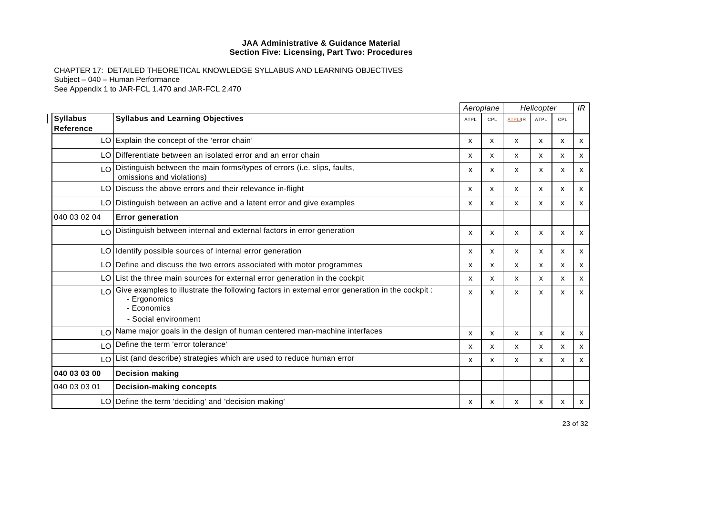|                              |                                                                                                                                                              |              | Aeroplane    |                | Helicopter   |     | IR                        |
|------------------------------|--------------------------------------------------------------------------------------------------------------------------------------------------------------|--------------|--------------|----------------|--------------|-----|---------------------------|
| <b>Syllabus</b><br>Reference | <b>Syllabus and Learning Objectives</b>                                                                                                                      | <b>ATPL</b>  | CPL          | <b>ATPL/IR</b> | <b>ATPL</b>  | CPL |                           |
|                              | LO Explain the concept of the 'error chain'                                                                                                                  | X            | $\mathsf{x}$ | x              | $\mathsf{x}$ | X   | X                         |
|                              | LO Differentiate between an isolated error and an error chain                                                                                                | X            | X            | X              | $\mathsf{x}$ | X   | $\mathsf{x}$              |
|                              | LO Distinguish between the main forms/types of errors (i.e. slips, faults,<br>omissions and violations)                                                      | х            | х            | X              | x            | x   | x                         |
|                              | LO Discuss the above errors and their relevance in-flight                                                                                                    | X            | X            | X              | X            | X   | $\boldsymbol{\mathsf{x}}$ |
|                              | LO Distinguish between an active and a latent error and give examples                                                                                        | X            | X            | X              | $\mathsf{x}$ | X   | $\mathsf{x}$              |
| 040 03 02 04                 | <b>Error generation</b>                                                                                                                                      |              |              |                |              |     |                           |
|                              | LO Distinguish between internal and external factors in error generation                                                                                     | х            | X            | X              | X            | X   | X                         |
|                              | LO Identify possible sources of internal error generation                                                                                                    | $\mathsf{x}$ | X            | x              | $\mathsf{x}$ | X   | x                         |
|                              | LO Define and discuss the two errors associated with motor programmes                                                                                        | X            | X            | X              | X            | X   | x                         |
|                              | $LO$ List the three main sources for external error generation in the cockpit                                                                                | $\mathsf{x}$ | x            | X              | X            | X   | X                         |
|                              | $\log$ Give examples to illustrate the following factors in external error generation in the cockpit:<br>- Ergonomics<br>- Economics<br>- Social environment | X            | x            | X              | x            | x   | x                         |
|                              | $\log$ Name major goals in the design of human centered man-machine interfaces                                                                               | x            | X            | X              | x            | x   | x                         |
| LO <sup>1</sup>              | Define the term 'error tolerance'                                                                                                                            | $\mathsf{x}$ | x            | X              | X            | X   | x                         |
| LO I                         | List (and describe) strategies which are used to reduce human error                                                                                          | x            | x            | X              | X            | X   | x                         |
| 040 03 03 00                 | <b>Decision making</b>                                                                                                                                       |              |              |                |              |     |                           |
| 040 03 03 01                 | <b>Decision-making concepts</b>                                                                                                                              |              |              |                |              |     |                           |
|                              | LO Define the term 'deciding' and 'decision making'                                                                                                          | х            | x            | x              | x            | x   | X                         |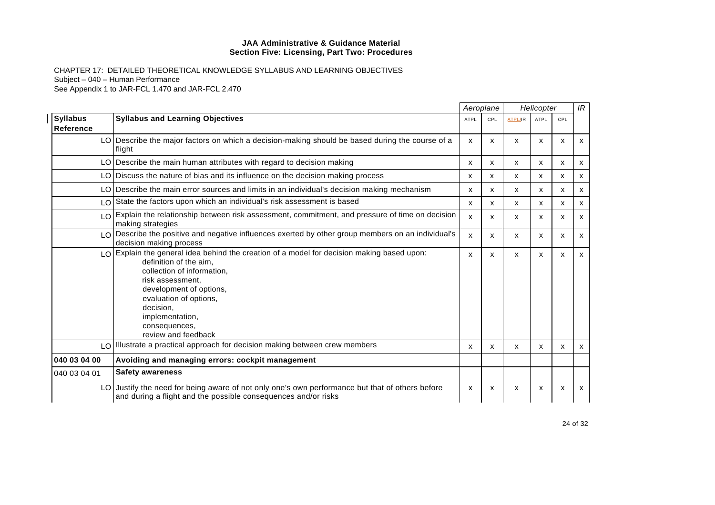|                                     |                                                                                                                                                                                                                                                                                                     |                           | Aeroplane |         | Helicopter |                           | IR                        |
|-------------------------------------|-----------------------------------------------------------------------------------------------------------------------------------------------------------------------------------------------------------------------------------------------------------------------------------------------------|---------------------------|-----------|---------|------------|---------------------------|---------------------------|
| <b>Syllabus</b><br><b>Reference</b> | <b>Syllabus and Learning Objectives</b>                                                                                                                                                                                                                                                             | <b>ATPL</b>               | CPL       | ATPL/IR | ATPL       | CPL                       |                           |
|                                     | LO Describe the major factors on which a decision-making should be based during the course of a<br>flight                                                                                                                                                                                           | x                         | x         | X       | X          | $\boldsymbol{\mathsf{x}}$ | X                         |
|                                     | LO   Describe the main human attributes with regard to decision making                                                                                                                                                                                                                              | x                         | x         | x       | x          | х                         | х                         |
|                                     | LO Discuss the nature of bias and its influence on the decision making process                                                                                                                                                                                                                      | x                         | x         | X       | x          | х                         | х                         |
|                                     | LO Describe the main error sources and limits in an individual's decision making mechanism                                                                                                                                                                                                          | X                         | x         | X       | X          | $\boldsymbol{\mathsf{x}}$ | X                         |
|                                     | LO State the factors upon which an individual's risk assessment is based                                                                                                                                                                                                                            | x                         | x         | X       | х          | x                         | x                         |
|                                     | LO Explain the relationship between risk assessment, commitment, and pressure of time on decision<br>making strategies                                                                                                                                                                              | x                         | x         | X       | X          | $\boldsymbol{\mathsf{x}}$ | X                         |
|                                     | $\log$ Describe the positive and negative influences exerted by other group members on an individual's<br>decision making process                                                                                                                                                                   | X                         | X         | X       | X          | $\boldsymbol{\mathsf{x}}$ | X                         |
|                                     | LO Explain the general idea behind the creation of a model for decision making based upon:<br>definition of the aim.<br>collection of information,<br>risk assessment.<br>development of options,<br>evaluation of options,<br>decision,<br>implementation,<br>consequences,<br>review and feedback | X                         | X         | X       | X          | $\boldsymbol{\mathsf{x}}$ | $\boldsymbol{\mathsf{x}}$ |
| LO                                  | Illustrate a practical approach for decision making between crew members                                                                                                                                                                                                                            | x                         | x         | X       | x          | $\boldsymbol{\mathsf{x}}$ | X                         |
| 040 03 04 00                        | Avoiding and managing errors: cockpit management                                                                                                                                                                                                                                                    |                           |           |         |            |                           |                           |
| 040 03 04 01                        | <b>Safety awareness</b>                                                                                                                                                                                                                                                                             |                           |           |         |            |                           |                           |
|                                     | LO Justify the need for being aware of not only one's own performance but that of others before<br>and during a flight and the possible consequences and/or risks                                                                                                                                   | $\boldsymbol{\mathsf{x}}$ | X         | X       | X          | X                         | x                         |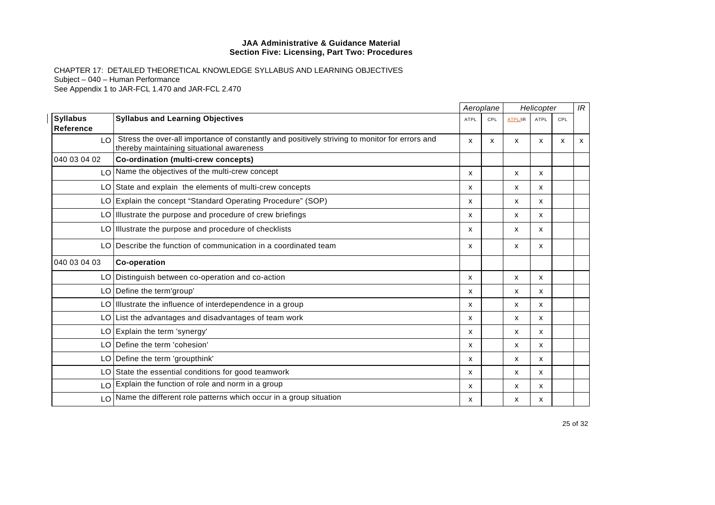|                              |                                                                                                                                             |      | Aeroplane |                | Helicopter  |     | IR |
|------------------------------|---------------------------------------------------------------------------------------------------------------------------------------------|------|-----------|----------------|-------------|-----|----|
| <b>Syllabus</b><br>Reference | <b>Syllabus and Learning Objectives</b>                                                                                                     | ATPL | CPL       | <b>ATPL/IR</b> | <b>ATPL</b> | CPL |    |
| LO I                         | Stress the over-all importance of constantly and positively striving to monitor for errors and<br>thereby maintaining situational awareness | x    | х         | X              | x           | x   | X  |
| 040 03 04 02                 | Co-ordination (multi-crew concepts)                                                                                                         |      |           |                |             |     |    |
|                              | LO Name the objectives of the multi-crew concept                                                                                            | X    |           | X              | X           |     |    |
|                              | LO State and explain the elements of multi-crew concepts                                                                                    | x    |           | X              | x           |     |    |
|                              | LO Explain the concept "Standard Operating Procedure" (SOP)                                                                                 | x    |           | X              | x           |     |    |
|                              | LO Illustrate the purpose and procedure of crew briefings                                                                                   | x    |           | X              | X           |     |    |
|                              | LO Illustrate the purpose and procedure of checklists                                                                                       | x    |           | X              | X           |     |    |
|                              | LO Describe the function of communication in a coordinated team                                                                             | x    |           | X              | X           |     |    |
| 040 03 04 03                 | <b>Co-operation</b>                                                                                                                         |      |           |                |             |     |    |
|                              | LO Distinguish between co-operation and co-action                                                                                           | x    |           | X              | X           |     |    |
|                              | LO   Define the term'group'                                                                                                                 | X    |           | X              | X           |     |    |
|                              | LO Illustrate the influence of interdependence in a group                                                                                   | x    |           | x              | X           |     |    |
|                              | LO List the advantages and disadvantages of team work                                                                                       | x    |           | X              | X           |     |    |
|                              | LO Explain the term 'synergy'                                                                                                               | x    |           | X              | X           |     |    |
|                              | LO Define the term 'cohesion'                                                                                                               | x    |           | X              | X           |     |    |
|                              | LO Define the term 'groupthink'                                                                                                             | x    |           | $\mathsf{x}$   | X           |     |    |
|                              | LO State the essential conditions for good teamwork                                                                                         | x    |           | X              | X           |     |    |
|                              | LO Explain the function of role and norm in a group                                                                                         | x    |           | X              | X           |     |    |
|                              | LO Name the different role patterns which occur in a group situation                                                                        | x    |           | x              | x           |     |    |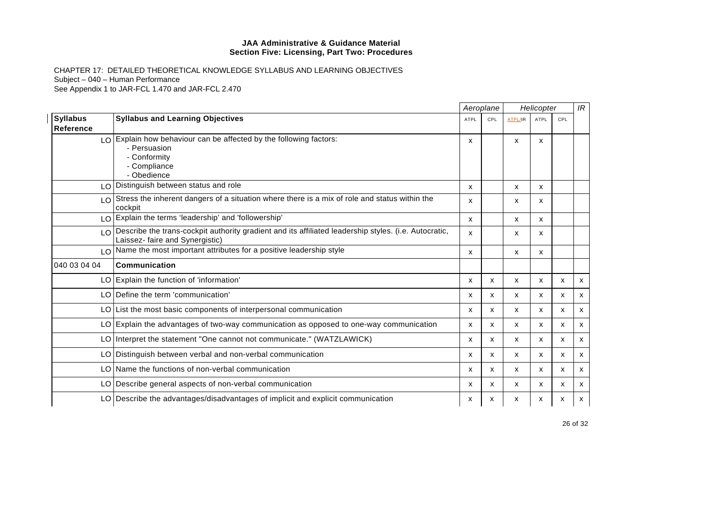|                                     |                                                                                                                                             |                           | Aeroplane    |                | Helicopter   |            | IR           |
|-------------------------------------|---------------------------------------------------------------------------------------------------------------------------------------------|---------------------------|--------------|----------------|--------------|------------|--------------|
| <b>Syllabus</b><br><b>Reference</b> | <b>Syllabus and Learning Objectives</b>                                                                                                     | <b>ATPL</b>               | CPL          | <b>ATPL/IR</b> | <b>ATPL</b>  | <b>CPL</b> |              |
|                                     | $LO$ Explain how behaviour can be affected by the following factors:<br>- Persuasion<br>- Conformity<br>- Compliance<br>- Obedience         | х                         |              | X              | x            |            |              |
|                                     | LO Distinguish between status and role                                                                                                      | X                         |              | X              | $\mathsf{x}$ |            |              |
|                                     | $\lfloor 0 \rfloor$ Stress the inherent dangers of a situation where there is a mix of role and status within the<br>cockpit                | х                         |              | X              | x            |            |              |
|                                     | LO Explain the terms 'leadership' and 'followership'                                                                                        | $\boldsymbol{\mathsf{x}}$ |              | X              | $\mathsf{x}$ |            |              |
|                                     | LO Describe the trans-cockpit authority gradient and its affiliated leadership styles. (i.e. Autocratic,<br>Laissez- faire and Synergistic) | X                         |              | X              | x            |            |              |
|                                     | LO Name the most important attributes for a positive leadership style                                                                       | X                         |              | X              | $\mathsf{x}$ |            |              |
| 040 03 04 04                        | Communication                                                                                                                               |                           |              |                |              |            |              |
|                                     | LO Explain the function of 'information'                                                                                                    | $\boldsymbol{\mathsf{x}}$ | x            | x              | X            | X          | $\mathsf{x}$ |
|                                     | LO Define the term 'communication'                                                                                                          | $\boldsymbol{\mathsf{x}}$ | $\mathsf{x}$ | X              | $\mathsf{x}$ | X          | $\mathsf{x}$ |
|                                     | LO List the most basic components of interpersonal communication                                                                            | x                         | x            | X              | X            | X          | x            |
|                                     | LO Explain the advantages of two-way communication as opposed to one-way communication                                                      | X                         | X            | X              | X            | X          | $\mathsf{x}$ |
|                                     | LO Interpret the statement "One cannot not communicate." (WATZLAWICK)                                                                       | $\boldsymbol{\mathsf{x}}$ | X            | X              | $\mathsf{x}$ | X          | $\mathsf{x}$ |
|                                     | LO Distinguish between verbal and non-verbal communication                                                                                  | X                         | X            | x              | $\mathsf{x}$ | X          | x            |
|                                     | LO Name the functions of non-verbal communication                                                                                           | X                         | X            | X              | X            | X          | $\mathsf{x}$ |
|                                     | LO Describe general aspects of non-verbal communication                                                                                     | X                         | X            | x              | x            | X          | X            |
|                                     | LO   Describe the advantages/disadvantages of implicit and explicit communication                                                           | х                         | х            | x              | х            | х          | x            |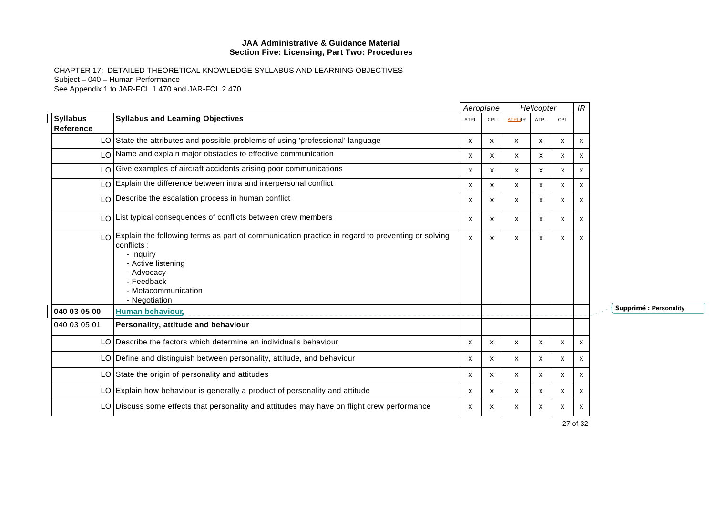CHAPTER 17: DETAILED THEORETICAL KNOWLEDGE SYLLABUS AND LEARNING OBJECTIVES Subject – 040 – Human Performance See Appendix 1 to JAR-FCL 1.470 and JAR-FCL 2.470

|                               |                                                                                                                                                                                                                          | Aeroplane    |     | Helicopter |                           |              | IR |          |
|-------------------------------|--------------------------------------------------------------------------------------------------------------------------------------------------------------------------------------------------------------------------|--------------|-----|------------|---------------------------|--------------|----|----------|
| <b>Syllabus</b><br>Reference  | <b>Syllabus and Learning Objectives</b>                                                                                                                                                                                  | ATPL         | CPL |            | <b>ATPL</b>               | CPL          |    |          |
|                               | LO State the attributes and possible problems of using 'professional' language                                                                                                                                           | X            | x   | X          | x                         | x            | x  |          |
|                               | LO Name and explain major obstacles to effective communication                                                                                                                                                           | $\mathsf{x}$ | X   | X          | $\mathsf{x}$              | $\mathsf{x}$ | х  |          |
|                               | LO Give examples of aircraft accidents arising poor communications                                                                                                                                                       | $\mathsf{x}$ | X   | X          | X                         | X            | x  |          |
|                               | LO Explain the difference between intra and interpersonal conflict                                                                                                                                                       | $\mathsf{x}$ | X   | X          | $\mathsf{x}$              | X            | x  |          |
|                               | LO Describe the escalation process in human conflict                                                                                                                                                                     | $\mathsf{x}$ | X   | X          | X                         | X            | x  |          |
| $\overline{1}$ $\overline{0}$ | List typical consequences of conflicts between crew members                                                                                                                                                              | $\mathsf{x}$ | X   | X          | $\boldsymbol{\mathsf{x}}$ | X            | х  |          |
|                               | LO Explain the following terms as part of communication practice in regard to preventing or solving<br>conflicts:<br>- Inquiry<br>- Active listening<br>- Advocacy<br>- Feedback<br>- Metacommunication<br>- Negotiation | x            | X   | X          | X                         | X            | x  |          |
| 040 03 05 00                  | Human behaviour,                                                                                                                                                                                                         |              |     |            |                           |              |    | Supprimé |
| 040 03 05 01                  | Personality, attitude and behaviour                                                                                                                                                                                      |              |     |            |                           |              |    |          |
|                               | LO Describe the factors which determine an individual's behaviour                                                                                                                                                        | X            | X   | X          | $\boldsymbol{\mathsf{x}}$ | x            | X  |          |
|                               | LO Define and distinguish between personality, attitude, and behaviour                                                                                                                                                   | x            | x   | X          | $\boldsymbol{\mathsf{x}}$ | X            | x  |          |
|                               | LO State the origin of personality and attitudes                                                                                                                                                                         | X            | x   | X          | $\mathsf{x}$              | X            | X  |          |
|                               | LO Explain how behaviour is generally a product of personality and attitude                                                                                                                                              | x            | X   | X          | x                         | x            | х  |          |
|                               | LO Discuss some effects that personality and attitudes may have on flight crew performance                                                                                                                               | x            | x   | x          | х                         | x            | х  |          |

**Supprimé : Personality**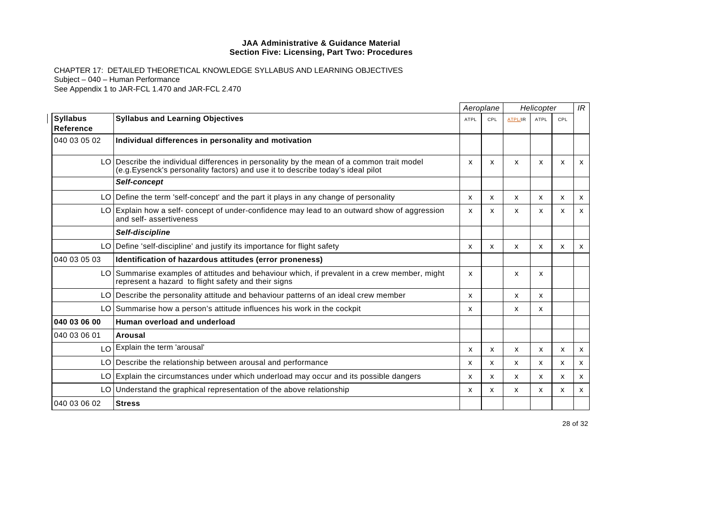|                              |                                                                                                                                                                              |      | Aeroplane |                | Helicopter  |     | IR                        |
|------------------------------|------------------------------------------------------------------------------------------------------------------------------------------------------------------------------|------|-----------|----------------|-------------|-----|---------------------------|
| <b>Syllabus</b><br>Reference | <b>Syllabus and Learning Objectives</b>                                                                                                                                      | ATPL | CPL       | <b>ATPL/IR</b> | <b>ATPL</b> | CPL |                           |
| 040 03 05 02                 | Individual differences in personality and motivation                                                                                                                         |      |           |                |             |     |                           |
|                              | LO Describe the individual differences in personality by the mean of a common trait model<br>(e.g. Eysenck's personality factors) and use it to describe today's ideal pilot | x    | X         | X              | X           | X   | $\mathsf{x}$              |
|                              | Self-concept                                                                                                                                                                 |      |           |                |             |     |                           |
|                              | LO Define the term 'self-concept' and the part it plays in any change of personality                                                                                         | x    | x         | X              | x           | x   | x                         |
|                              | LO Explain how a self- concept of under-confidence may lead to an outward show of aggression<br>and self- assertiveness                                                      | x    | x         | X              | x           | X   | $\mathsf{x}$              |
|                              | Self-discipline                                                                                                                                                              |      |           |                |             |     |                           |
|                              | LO Define 'self-discipline' and justify its importance for flight safety                                                                                                     | x    | X         | X              | X           | X   | $\mathsf{x}$              |
| 040 03 05 03                 | Identification of hazardous attitudes (error proneness)                                                                                                                      |      |           |                |             |     |                           |
|                              | LO Summarise examples of attitudes and behaviour which, if prevalent in a crew member, might<br>represent a hazard to flight safety and their signs                          | X    |           | X              | X           |     |                           |
|                              | LO Describe the personality attitude and behaviour patterns of an ideal crew member                                                                                          | x    |           | X              | x           |     |                           |
|                              | LO Summarise how a person's attitude influences his work in the cockpit                                                                                                      | x    |           | X              | x           |     |                           |
| 040 03 06 00                 | Human overload and underload                                                                                                                                                 |      |           |                |             |     |                           |
| 040 03 06 01                 | Arousal                                                                                                                                                                      |      |           |                |             |     |                           |
|                              | LO Explain the term 'arousal'                                                                                                                                                | x    | x         | X              | x           | x   | x                         |
|                              | LO Describe the relationship between arousal and performance                                                                                                                 | x    | X         | X              | x           | x   | x                         |
|                              | LO Explain the circumstances under which underload may occur and its possible dangers                                                                                        | x    | X         | X              | X           | X   | $\boldsymbol{\mathsf{x}}$ |
|                              | LO Understand the graphical representation of the above relationship                                                                                                         | x    | x         | X              | X           | x   | X                         |
| 040 03 06 02                 | <b>Stress</b>                                                                                                                                                                |      |           |                |             |     |                           |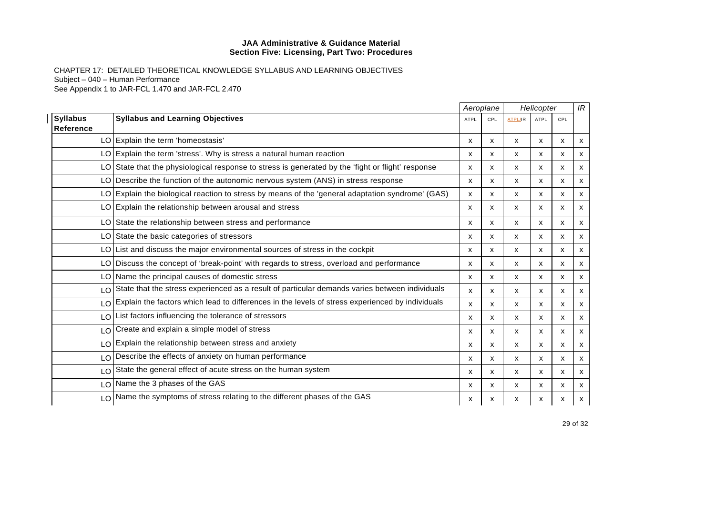|                              |                                                                                                     |             | Aeroplane |         | Helicopter |                           | IR |
|------------------------------|-----------------------------------------------------------------------------------------------------|-------------|-----------|---------|------------|---------------------------|----|
| <b>Syllabus</b><br>Reference | <b>Syllabus and Learning Objectives</b>                                                             | <b>ATPL</b> | CPL       | ATPL/IR | ATPL       | CPL                       |    |
|                              | LO Explain the term 'homeostasis'                                                                   | X           | x         | X       | x          | X                         | x  |
|                              | LO Explain the term 'stress'. Why is stress a natural human reaction                                | x           | x         | x       | х          | x                         | x  |
|                              | LO State that the physiological response to stress is generated by the 'fight or flight' response   | x           | x         | x       | X          | $\boldsymbol{\mathsf{x}}$ | х  |
|                              | LO Describe the function of the autonomic nervous system (ANS) in stress response                   | x           | x         | x       | х          | x                         | x  |
|                              | LO Explain the biological reaction to stress by means of the 'general adaptation syndrome' (GAS)    | x           | x         | x       | X          | X                         | X  |
|                              | LO Explain the relationship between arousal and stress                                              | X           | X         | X       | X          | X                         | x  |
|                              | LO State the relationship between stress and performance                                            | x           | X         | X       | X          | $\boldsymbol{\mathsf{x}}$ | х  |
|                              | LO State the basic categories of stressors                                                          | x           | x         | x       | X          | х                         | х  |
|                              | LO List and discuss the major environmental sources of stress in the cockpit                        | x           | X         | X       | X          | X                         | X  |
|                              | LO Discuss the concept of 'break-point' with regards to stress, overload and performance            | X           | X         | x       | X          | X                         | X  |
|                              | LO Name the principal causes of domestic stress                                                     | х           | x         | x       | х          | х                         | х  |
| LO                           | State that the stress experienced as a result of particular demands varies between individuals      | x           | x         | X       | X          | $\boldsymbol{\mathsf{x}}$ | X  |
|                              | LO Explain the factors which lead to differences in the levels of stress experienced by individuals | x           | x         | X       | X          | $\boldsymbol{\mathsf{x}}$ | X  |
|                              | LO List factors influencing the tolerance of stressors                                              | x           | x         | X       | X          | $\boldsymbol{\mathsf{x}}$ | x  |
| LO                           | Create and explain a simple model of stress                                                         | x           | x         | X       | X          | $\boldsymbol{\mathsf{x}}$ | X  |
| LO                           | Explain the relationship between stress and anxiety                                                 | x           | x         | x       | X          | $\boldsymbol{\mathsf{x}}$ | X  |
|                              | LO Describe the effects of anxiety on human performance                                             | x           | x         | x       | X          | x                         | x  |
|                              | LO State the general effect of acute stress on the human system                                     | x           | x         | X       | X          | $\boldsymbol{\mathsf{x}}$ | x  |
|                              | LO Name the 3 phases of the GAS                                                                     | x           | x         | X       | X          | x                         | x  |
|                              | LO Name the symptoms of stress relating to the different phases of the GAS                          | x           | x         | х       | x          | X                         | x  |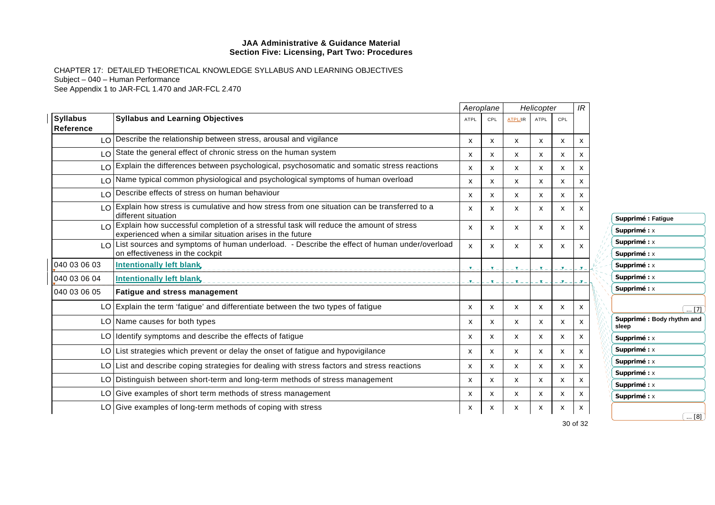CHAPTER 17: DETAILED THEORETICAL KNOWLEDGE SYLLABUS AND LEARNING OBJECTIVES Subject – 040 – Human Performance See Appendix 1 to JAR-FCL 1.470 and JAR-FCL 2.470

|                              |                                                                                                                                |                           | Aeroplane                 |                           | Helicopter   |                           | IR |                                     |
|------------------------------|--------------------------------------------------------------------------------------------------------------------------------|---------------------------|---------------------------|---------------------------|--------------|---------------------------|----|-------------------------------------|
| <b>Syllabus</b><br>Reference | <b>Syllabus and Learning Objectives</b>                                                                                        | <b>ATPL</b>               | CPL                       | <b>ATPL/IR</b>            | <b>ATPL</b>  | CPL                       |    |                                     |
|                              | LO Describe the relationship between stress, arousal and vigilance                                                             | x                         | $\mathsf{x}$              | $\boldsymbol{\mathsf{x}}$ | x            | X                         | x  |                                     |
|                              | $\log  \Omega $ State the general effect of chronic stress on the human system                                                 | $\mathsf{x}$              | $\boldsymbol{\mathsf{x}}$ | $\mathsf{x}$              | X            | $\mathsf{x}$              | x  |                                     |
|                              | LO Explain the differences between psychological, psychosomatic and somatic stress reactions                                   | X                         | X                         | $\mathsf{x}$              | X            | X                         | x  |                                     |
|                              | I O Name typical common physiological and psychological symptoms of human overload                                             | x                         | $\boldsymbol{\mathsf{x}}$ | X                         | x            | X                         | х  |                                     |
| LO.                          | Describe effects of stress on human behaviour                                                                                  | $\mathsf{x}$              | X                         | $\mathsf{x}$              | $\mathsf{x}$ | $\boldsymbol{\mathsf{x}}$ | x  |                                     |
| LO                           | Explain how stress is cumulative and how stress from one situation can be transferred to a<br>different situation              | $\mathsf{x}$              | X                         | X                         | X            | $\mathsf{x}$              | x  | Supprimé : Fatigue                  |
| $\overline{O}$               | Explain how successful completion of a stressful task will reduce the amount of stress                                         | x                         | X                         | x                         | x            | X                         | x  | Supprimé : x                        |
|                              | experienced when a similar situation arises in the future                                                                      |                           |                           |                           |              |                           |    | Supprimé : x                        |
| LO                           | List sources and symptoms of human underload. - Describe the effect of human under/overload<br>on effectiveness in the cockpit | $\boldsymbol{\mathsf{x}}$ | $\mathsf{x}$              | X                         | x            | $\boldsymbol{\mathsf{x}}$ | x  | Supprimé : x                        |
| 040 03 06 03                 | <b>Intentionally left blank</b>                                                                                                |                           | _ ¥.                      | - <b>x</b> -              |              | - J-                      |    | Supprimé : x                        |
| 040 03 06 04                 | Intentionally left blank,                                                                                                      |                           | $-$ Y $-$                 | _ <b>v</b> _              |              |                           |    | Supprimé : x                        |
| 040 03 06 05                 | <b>Fatigue and stress management</b>                                                                                           |                           |                           |                           |              |                           |    | Supprimé : x                        |
|                              | LO Explain the term 'fatigue' and differentiate between the two types of fatigue                                               | $\mathsf{x}$              | X                         | $\mathsf{x}$              | x            | $\boldsymbol{\mathsf{x}}$ | x  | $\overline{ 71}$                    |
|                              | LO Name causes for both types                                                                                                  | $\mathsf{x}$              | $\mathsf{x}$              | $\mathsf{x}$              | $\mathsf{x}$ | $\boldsymbol{\mathsf{x}}$ | X  | Supprimé : Body rhythm and<br>sleep |
|                              | LO Identify symptoms and describe the effects of fatigue                                                                       | x                         | X                         | $\mathsf{x}$              | x            | $\mathsf{x}$              | x  | Supprimé : x                        |
|                              | LO List strategies which prevent or delay the onset of fatigue and hypovigilance                                               | $\mathsf{x}$              | X                         | $\mathsf{x}$              | $\mathsf{x}$ | $\boldsymbol{\mathsf{x}}$ | x  | Supprimé : x                        |
|                              | LO List and describe coping strategies for dealing with stress factors and stress reactions                                    | $\mathsf{x}$              | X                         | $\mathsf{x}$              | x            | $\boldsymbol{\mathsf{x}}$ | x  | Supprimé : x                        |
|                              | LO Distinguish between short-term and long-term methods of stress management                                                   | $\mathsf{x}$              | $\mathsf{x}$              | $\mathsf{x}$              | $\mathsf{x}$ | $\boldsymbol{\mathsf{x}}$ | x  | Supprimé : x                        |
|                              |                                                                                                                                |                           |                           |                           |              |                           |    | Supprimé : x                        |
|                              | LO Give examples of short term methods of stress management                                                                    | x                         | X                         | $\mathsf{x}$              | x            | X                         | х  | Supprimé : x                        |
|                              | $LO G$ Give examples of long-term methods of coping with stress                                                                | $\boldsymbol{\mathsf{x}}$ | х                         | x                         | x            | x                         | х  | $\ldots$ [8] $\,$ ]                 |

30 of 32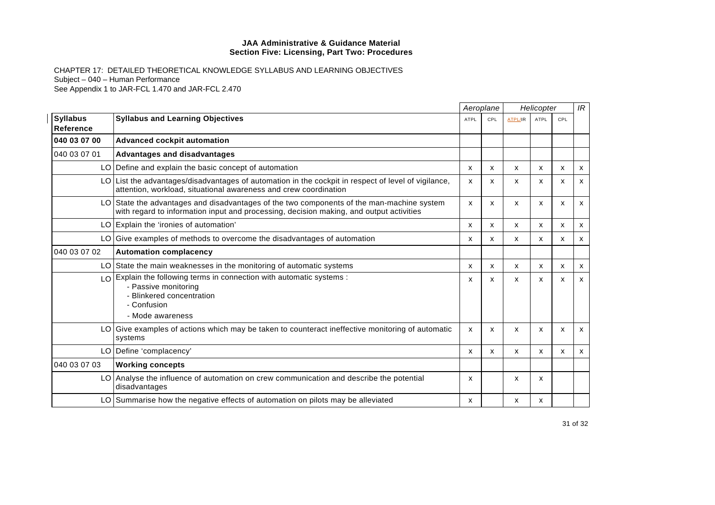|                                     |                                                                                                                                                                                      | Aeroplane   |     | Helicopter     |             |     | IR           |
|-------------------------------------|--------------------------------------------------------------------------------------------------------------------------------------------------------------------------------------|-------------|-----|----------------|-------------|-----|--------------|
| <b>Syllabus</b><br><b>Reference</b> | <b>Syllabus and Learning Objectives</b>                                                                                                                                              | <b>ATPL</b> | CPL | <b>ATPL/IR</b> | <b>ATPL</b> | CPL |              |
| 040 03 07 00                        | Advanced cockpit automation                                                                                                                                                          |             |     |                |             |     |              |
| 040 03 07 01                        | <b>Advantages and disadvantages</b>                                                                                                                                                  |             |     |                |             |     |              |
|                                     | LO Define and explain the basic concept of automation                                                                                                                                | x           | X   | X              | X           | x   | $\mathsf{x}$ |
|                                     | LO List the advantages/disadvantages of automation in the cockpit in respect of level of vigilance,<br>attention, workload, situational awareness and crew coordination              | x           | X   | X              | x           | x   | X            |
|                                     | LO State the advantages and disadvantages of the two components of the man-machine system<br>with regard to information input and processing, decision making, and output activities | X           | X   | X              | X           | X   | $\mathsf{x}$ |
|                                     | LO Explain the 'ironies of automation'                                                                                                                                               | x           | x   | x              | x           | х   | х            |
|                                     | LO Give examples of methods to overcome the disadvantages of automation                                                                                                              | x           | X   | X              | X           | X   | x            |
| 040 03 07 02                        | <b>Automation complacency</b>                                                                                                                                                        |             |     |                |             |     |              |
|                                     | LO State the main weaknesses in the monitoring of automatic systems                                                                                                                  | x           | x   | X              | x           | x   | x            |
|                                     | LO Explain the following terms in connection with automatic systems :<br>- Passive monitoring<br>- Blinkered concentration<br>- Confusion<br>- Mode awareness                        | x           | X   | X              | X           | X   | $\mathsf{x}$ |
|                                     | LO Give examples of actions which may be taken to counteract ineffective monitoring of automatic<br>systems                                                                          | X           | X   | X              | X           | X   | $\mathsf{x}$ |
|                                     | LO   Define 'complacency'                                                                                                                                                            | x           | x   | X              | X           | X   | x            |
| 040 03 07 03                        | <b>Working concepts</b>                                                                                                                                                              |             |     |                |             |     |              |
|                                     | LO   Analyse the influence of automation on crew communication and describe the potential<br>disadvantages                                                                           | x           |     | X              | X           |     |              |
|                                     | LO Summarise how the negative effects of automation on pilots may be alleviated                                                                                                      | x           |     | x              | x           |     |              |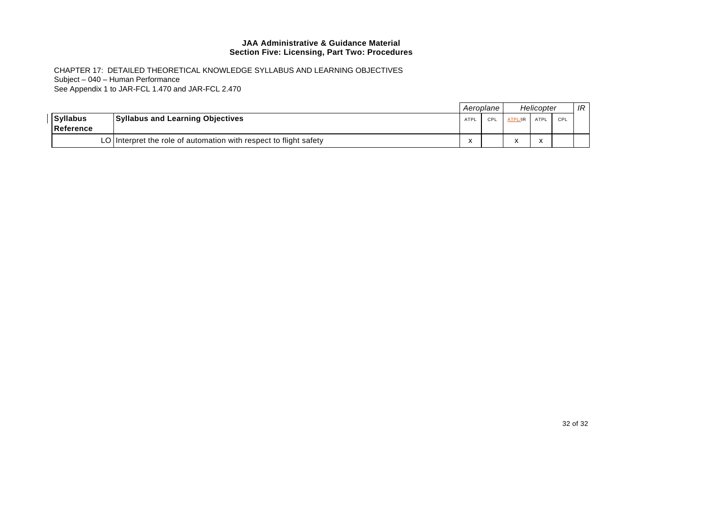|                              |                                                                   |      | Aeroplane I |                      | Helicopter   |     | IR |
|------------------------------|-------------------------------------------------------------------|------|-------------|----------------------|--------------|-----|----|
| <b>Syllabus</b><br>Reference | <b>Syllabus and Learning Objectives</b>                           | ATPL | CPI         | ATPL/IR              | ATPL         | CPL |    |
|                              | LO Interpret the role of automation with respect to flight safety | ⋏    |             | $\ddot{\phantom{0}}$ | $\checkmark$ |     |    |